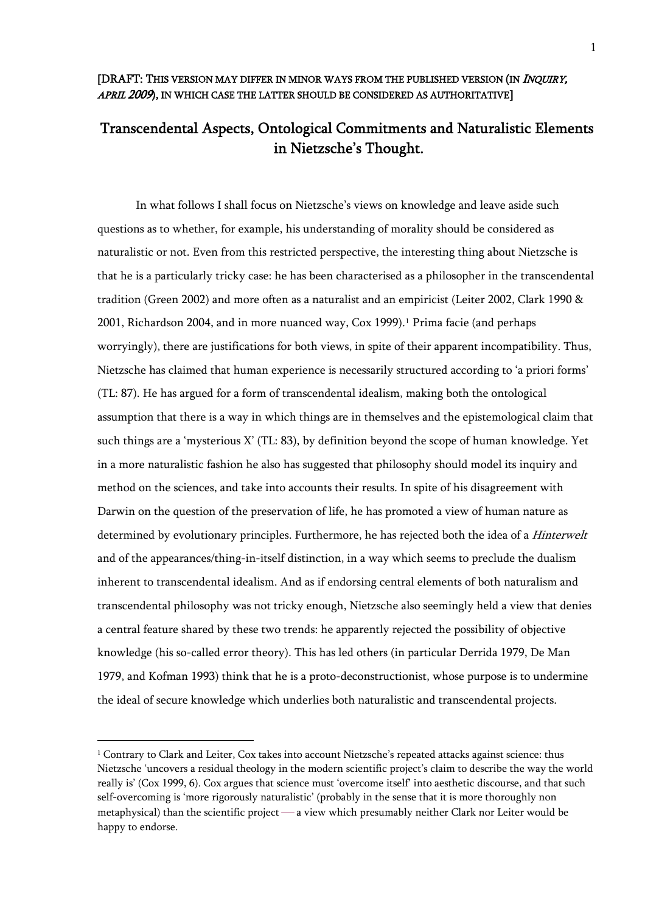## [DRAFT: THIS VERSION MAY DIFFER IN MINOR WAYS FROM THE PUBLISHED VERSION (IN <sup>I</sup>NQUIRY, APRIL 2009), IN WHICH CASE THE LATTER SHOULD BE CONSIDERED AS AUTHORITATIVE]

# Transcendental Aspects, Ontological Commitments and Naturalistic Elements in Nietzsche's Thought.

 In what follows I shall focus on Nietzsche's views on knowledge and leave aside such questions as to whether, for example, his understanding of morality should be considered as naturalistic or not. Even from this restricted perspective, the interesting thing about Nietzsche is that he is a particularly tricky case: he has been characterised as a philosopher in the transcendental tradition (Green 2002) and more often as a naturalist and an empiricist (Leiter 2002, Clark 1990 & 200[1](#page-0-0), Richardson 2004, and in more nuanced way, Cox 1999).<sup>1</sup> Prima facie (and perhaps worryingly), there are justifications for both views, in spite of their apparent incompatibility. Thus, Nietzsche has claimed that human experience is necessarily structured according to 'a priori forms' (TL: 87). He has argued for a form of transcendental idealism, making both the ontological assumption that there is a way in which things are in themselves and the epistemological claim that such things are a 'mysterious X' (TL: 83), by definition beyond the scope of human knowledge. Yet in a more naturalistic fashion he also has suggested that philosophy should model its inquiry and method on the sciences, and take into accounts their results. In spite of his disagreement with Darwin on the question of the preservation of life, he has promoted a view of human nature as determined by evolutionary principles. Furthermore, he has rejected both the idea of a *Hinterwelt* and of the appearances/thing-in-itself distinction, in a way which seems to preclude the dualism inherent to transcendental idealism. And as if endorsing central elements of both naturalism and transcendental philosophy was not tricky enough, Nietzsche also seemingly held a view that denies a central feature shared by these two trends: he apparently rejected the possibility of objective knowledge (his so-called error theory). This has led others (in particular Derrida 1979, De Man 1979, and Kofman 1993) think that he is a proto-deconstructionist, whose purpose is to undermine the ideal of secure knowledge which underlies both naturalistic and transcendental projects.

<span id="page-0-0"></span> $1$  Contrary to Clark and Leiter, Cox takes into account Nietzsche's repeated attacks against science: thus Nietzsche 'uncovers a residual theology in the modern scientific project's claim to describe the way the world really is' (Cox 1999, 6). Cox argues that science must 'overcome itself' into aesthetic discourse, and that such self-overcoming is 'more rigorously naturalistic' (probably in the sense that it is more thoroughly non metaphysical) than the scientific project — a view which presumably neither Clark nor Leiter would be happy to endorse.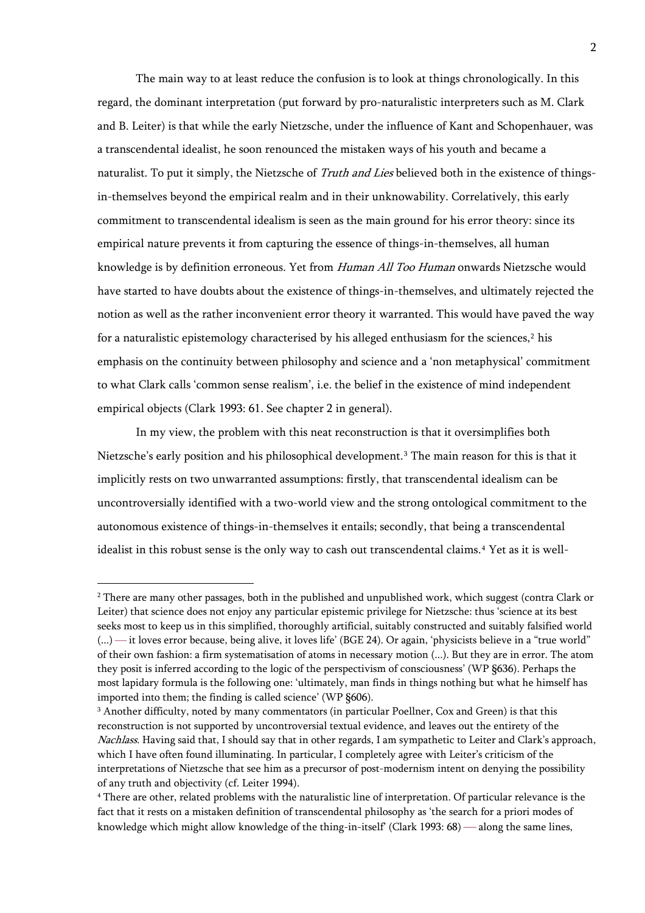The main way to at least reduce the confusion is to look at things chronologically. In this regard, the dominant interpretation (put forward by pro-naturalistic interpreters such as M. Clark and B. Leiter) is that while the early Nietzsche, under the influence of Kant and Schopenhauer, was a transcendental idealist, he soon renounced the mistaken ways of his youth and became a naturalist. To put it simply, the Nietzsche of Truth and Lies believed both in the existence of thingsin-themselves beyond the empirical realm and in their unknowability. Correlatively, this early commitment to transcendental idealism is seen as the main ground for his error theory: since its empirical nature prevents it from capturing the essence of things-in-themselves, all human knowledge is by definition erroneous. Yet from Human All Too Human onwards Nietzsche would have started to have doubts about the existence of things-in-themselves, and ultimately rejected the notion as well as the rather inconvenient error theory it warranted. This would have paved the way for a naturalistic epistemology characterised by his alleged enthusiasm for the sciences,<sup>[2](#page-1-0)</sup> his emphasis on the continuity between philosophy and science and a 'non metaphysical' commitment to what Clark calls 'common sense realism', i.e. the belief in the existence of mind independent empirical objects (Clark 1993: 61. See chapter 2 in general).

 In my view, the problem with this neat reconstruction is that it oversimplifies both Nietzsche's early position and his philosophical development.[3](#page-1-1) The main reason for this is that it implicitly rests on two unwarranted assumptions: firstly, that transcendental idealism can be uncontroversially identified with a two-world view and the strong ontological commitment to the autonomous existence of things-in-themselves it entails; secondly, that being a transcendental idealist in this robust sense is the only way to cash out transcendental claims.<sup>[4](#page-1-2)</sup> Yet as it is well-

<span id="page-1-0"></span><sup>&</sup>lt;sup>2</sup> There are many other passages, both in the published and unpublished work, which suggest (contra Clark or Leiter) that science does not enjoy any particular epistemic privilege for Nietzsche: thus 'science at its best seeks most to keep us in this simplified, thoroughly artificial, suitably constructed and suitably falsified world (...) — it loves error because, being alive, it loves life' (BGE 24). Or again, 'physicists believe in a "true world" of their own fashion: a firm systematisation of atoms in necessary motion (...). But they are in error. The atom they posit is inferred according to the logic of the perspectivism of consciousness' (WP §636). Perhaps the most lapidary formula is the following one: 'ultimately, man finds in things nothing but what he himself has imported into them; the finding is called science' (WP §606).

<span id="page-1-1"></span><sup>&</sup>lt;sup>3</sup> Another difficulty, noted by many commentators (in particular Poellner, Cox and Green) is that this reconstruction is not supported by uncontroversial textual evidence, and leaves out the entirety of the Nachlass. Having said that, I should say that in other regards, I am sympathetic to Leiter and Clark's approach, which I have often found illuminating. In particular, I completely agree with Leiter's criticism of the interpretations of Nietzsche that see him as a precursor of post-modernism intent on denying the possibility of any truth and objectivity (cf. Leiter 1994).

<span id="page-1-2"></span><sup>4</sup> There are other, related problems with the naturalistic line of interpretation. Of particular relevance is the fact that it rests on a mistaken definition of transcendental philosophy as 'the search for a priori modes of knowledge which might allow knowledge of the thing-in-itself' (Clark 1993: 68) — along the same lines,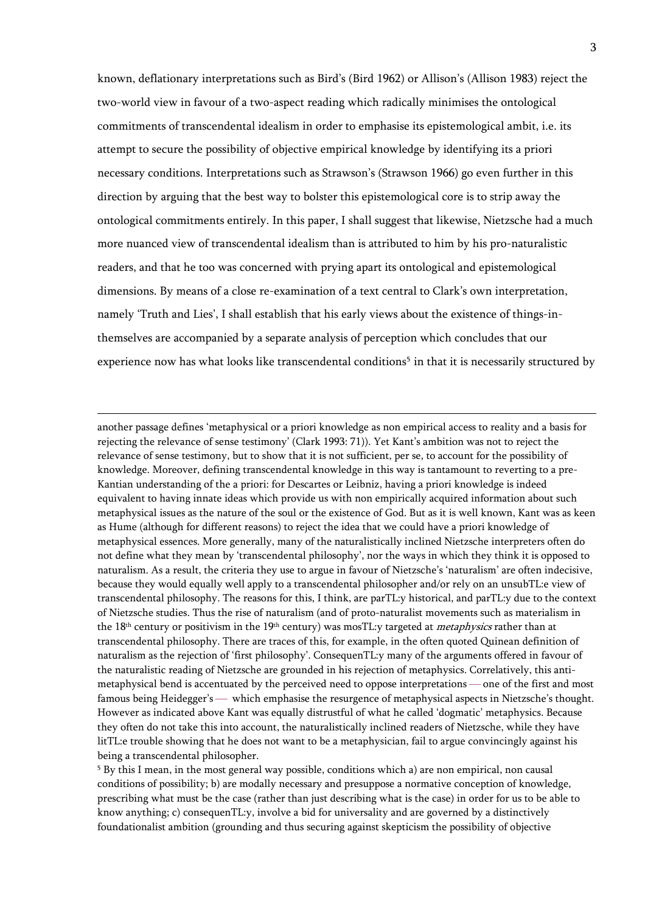known, deflationary interpretations such as Bird's (Bird 1962) or Allison's (Allison 1983) reject the two-world view in favour of a two-aspect reading which radically minimises the ontological commitments of transcendental idealism in order to emphasise its epistemological ambit, i.e. its attempt to secure the possibility of objective empirical knowledge by identifying its a priori necessary conditions. Interpretations such as Strawson's (Strawson 1966) go even further in this direction by arguing that the best way to bolster this epistemological core is to strip away the ontological commitments entirely. In this paper, I shall suggest that likewise, Nietzsche had a much more nuanced view of transcendental idealism than is attributed to him by his pro-naturalistic readers, and that he too was concerned with prying apart its ontological and epistemological dimensions. By means of a close re-examination of a text central to Clark's own interpretation, namely 'Truth and Lies', I shall establish that his early views about the existence of things-inthemselves are accompanied by a separate analysis of perception which concludes that our experience now has what looks like transcendental conditions<sup>[5](#page-2-0)</sup> in that it is necessarily structured by

another passage defines 'metaphysical or a priori knowledge as non empirical access to reality and a basis for rejecting the relevance of sense testimony' (Clark 1993: 71)). Yet Kant's ambition was not to reject the relevance of sense testimony, but to show that it is not sufficient, per se, to account for the possibility of knowledge. Moreover, defining transcendental knowledge in this way is tantamount to reverting to a pre-Kantian understanding of the a priori: for Descartes or Leibniz, having a priori knowledge is indeed equivalent to having innate ideas which provide us with non empirically acquired information about such metaphysical issues as the nature of the soul or the existence of God. But as it is well known, Kant was as keen as Hume (although for different reasons) to reject the idea that we could have a priori knowledge of metaphysical essences. More generally, many of the naturalistically inclined Nietzsche interpreters often do not define what they mean by 'transcendental philosophy', nor the ways in which they think it is opposed to naturalism. As a result, the criteria they use to argue in favour of Nietzsche's 'naturalism' are often indecisive, because they would equally well apply to a transcendental philosopher and/or rely on an unsubTL:e view of transcendental philosophy. The reasons for this, I think, are parTL:y historical, and parTL:y due to the context of Nietzsche studies. Thus the rise of naturalism (and of proto-naturalist movements such as materialism in the  $18<sup>th</sup>$  century or positivism in the  $19<sup>th</sup>$  century) was mosTL:y targeted at *metaphysics* rather than at transcendental philosophy. There are traces of this, for example, in the often quoted Quinean definition of naturalism as the rejection of 'first philosophy'. ConsequenTL:y many of the arguments offered in favour of the naturalistic reading of Nietzsche are grounded in his rejection of metaphysics. Correlatively, this antimetaphysical bend is accentuated by the perceived need to oppose interpretations — one of the first and most famous being Heidegger's — which emphasise the resurgence of metaphysical aspects in Nietzsche's thought. However as indicated above Kant was equally distrustful of what he called 'dogmatic' metaphysics. Because they often do not take this into account, the naturalistically inclined readers of Nietzsche, while they have litTL:e trouble showing that he does not want to be a metaphysician, fail to argue convincingly against his being a transcendental philosopher.

-

<span id="page-2-0"></span>5 By this I mean, in the most general way possible, conditions which a) are non empirical, non causal conditions of possibility; b) are modally necessary and presuppose a normative conception of knowledge, prescribing what must be the case (rather than just describing what is the case) in order for us to be able to know anything; c) consequenTL:y, involve a bid for universality and are governed by a distinctively foundationalist ambition (grounding and thus securing against skepticism the possibility of objective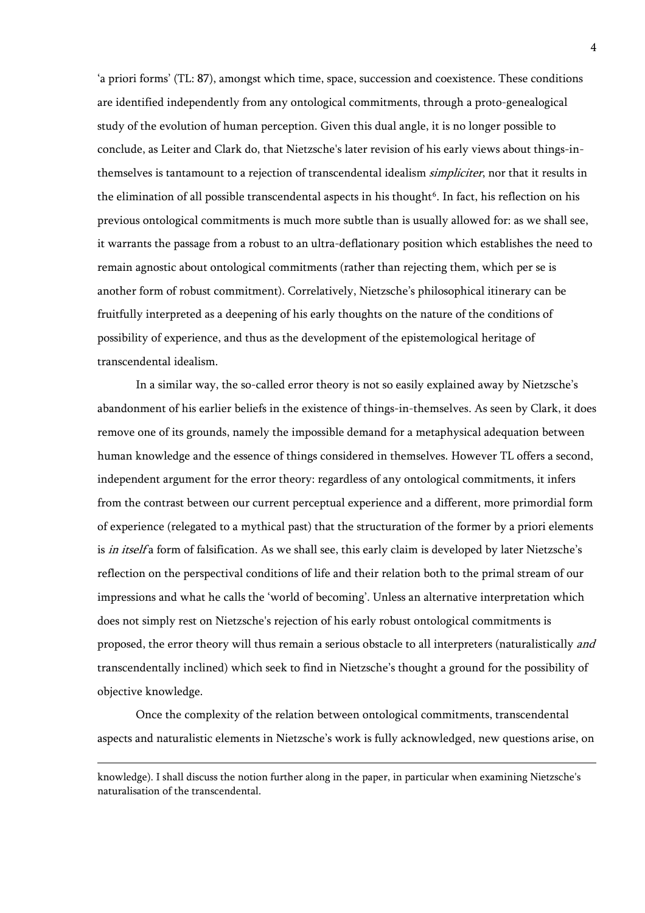'a priori forms' (TL: 87), amongst which time, space, succession and coexistence. These conditions are identified independently from any ontological commitments, through a proto-genealogical study of the evolution of human perception. Given this dual angle, it is no longer possible to conclude, as Leiter and Clark do, that Nietzsche's later revision of his early views about things-inthemselves is tantamount to a rejection of transcendental idealism *simpliciter*, nor that it results in the elimination of all possible transcendental aspects in his thought<sup>[6](#page-3-0)</sup>. In fact, his reflection on his previous ontological commitments is much more subtle than is usually allowed for: as we shall see, it warrants the passage from a robust to an ultra-deflationary position which establishes the need to remain agnostic about ontological commitments (rather than rejecting them, which per se is another form of robust commitment). Correlatively, Nietzsche's philosophical itinerary can be fruitfully interpreted as a deepening of his early thoughts on the nature of the conditions of possibility of experience, and thus as the development of the epistemological heritage of transcendental idealism.

 In a similar way, the so-called error theory is not so easily explained away by Nietzsche's abandonment of his earlier beliefs in the existence of things-in-themselves. As seen by Clark, it does remove one of its grounds, namely the impossible demand for a metaphysical adequation between human knowledge and the essence of things considered in themselves. However TL offers a second, independent argument for the error theory: regardless of any ontological commitments, it infers from the contrast between our current perceptual experience and a different, more primordial form of experience (relegated to a mythical past) that the structuration of the former by a priori elements is *in itself* a form of falsification. As we shall see, this early claim is developed by later Nietzsche's reflection on the perspectival conditions of life and their relation both to the primal stream of our impressions and what he calls the 'world of becoming'. Unless an alternative interpretation which does not simply rest on Nietzsche's rejection of his early robust ontological commitments is proposed, the error theory will thus remain a serious obstacle to all interpreters (naturalistically and transcendentally inclined) which seek to find in Nietzsche's thought a ground for the possibility of objective knowledge.

 Once the complexity of the relation between ontological commitments, transcendental aspects and naturalistic elements in Nietzsche's work is fully acknowledged, new questions arise, on

<span id="page-3-0"></span>knowledge). I shall discuss the notion further along in the paper, in particular when examining Nietzsche's naturalisation of the transcendental.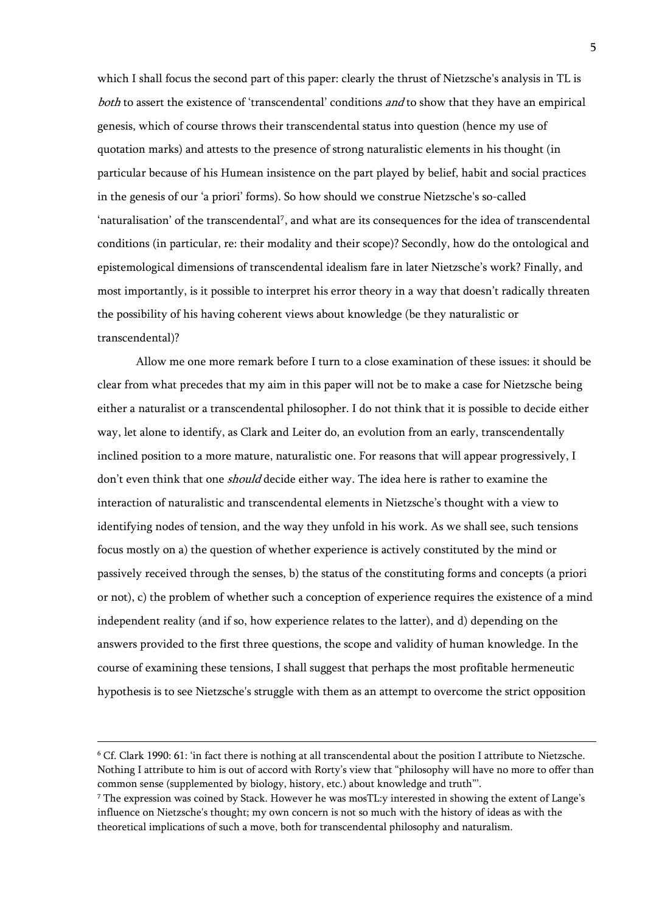which I shall focus the second part of this paper: clearly the thrust of Nietzsche's analysis in TL is both to assert the existence of 'transcendental' conditions and to show that they have an empirical genesis, which of course throws their transcendental status into question (hence my use of quotation marks) and attests to the presence of strong naturalistic elements in his thought (in particular because of his Humean insistence on the part played by belief, habit and social practices in the genesis of our 'a priori' forms). So how should we construe Nietzsche's so-called 'naturalisation' of the transcendental[7](#page-4-0), and what are its consequences for the idea of transcendental conditions (in particular, re: their modality and their scope)? Secondly, how do the ontological and epistemological dimensions of transcendental idealism fare in later Nietzsche's work? Finally, and most importantly, is it possible to interpret his error theory in a way that doesn't radically threaten the possibility of his having coherent views about knowledge (be they naturalistic or transcendental)?

 Allow me one more remark before I turn to a close examination of these issues: it should be clear from what precedes that my aim in this paper will not be to make a case for Nietzsche being either a naturalist or a transcendental philosopher. I do not think that it is possible to decide either way, let alone to identify, as Clark and Leiter do, an evolution from an early, transcendentally inclined position to a more mature, naturalistic one. For reasons that will appear progressively, I don't even think that one *should* decide either way. The idea here is rather to examine the interaction of naturalistic and transcendental elements in Nietzsche's thought with a view to identifying nodes of tension, and the way they unfold in his work. As we shall see, such tensions focus mostly on a) the question of whether experience is actively constituted by the mind or passively received through the senses, b) the status of the constituting forms and concepts (a priori or not), c) the problem of whether such a conception of experience requires the existence of a mind independent reality (and if so, how experience relates to the latter), and d) depending on the answers provided to the first three questions, the scope and validity of human knowledge. In the course of examining these tensions, I shall suggest that perhaps the most profitable hermeneutic hypothesis is to see Nietzsche's struggle with them as an attempt to overcome the strict opposition

<sup>6</sup> Cf. Clark 1990: 61: 'in fact there is nothing at all transcendental about the position I attribute to Nietzsche. Nothing I attribute to him is out of accord with Rorty's view that "philosophy will have no more to offer than common sense (supplemented by biology, history, etc.) about knowledge and truth"'.

<span id="page-4-0"></span><sup>7</sup> The expression was coined by Stack. However he was mosTL:y interested in showing the extent of Lange's influence on Nietzsche's thought; my own concern is not so much with the history of ideas as with the theoretical implications of such a move, both for transcendental philosophy and naturalism.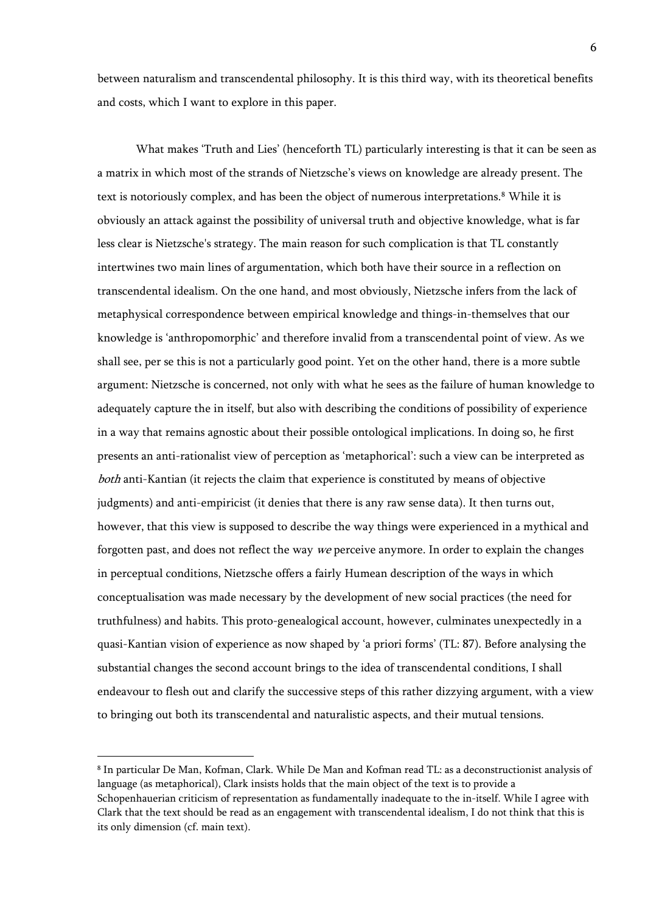between naturalism and transcendental philosophy. It is this third way, with its theoretical benefits and costs, which I want to explore in this paper.

 What makes 'Truth and Lies' (henceforth TL) particularly interesting is that it can be seen as a matrix in which most of the strands of Nietzsche's views on knowledge are already present. The text is notoriously complex, and has been the object of numerous interpretations.<sup>[8](#page-5-0)</sup> While it is obviously an attack against the possibility of universal truth and objective knowledge, what is far less clear is Nietzsche's strategy. The main reason for such complication is that TL constantly intertwines two main lines of argumentation, which both have their source in a reflection on transcendental idealism. On the one hand, and most obviously, Nietzsche infers from the lack of metaphysical correspondence between empirical knowledge and things-in-themselves that our knowledge is 'anthropomorphic' and therefore invalid from a transcendental point of view. As we shall see, per se this is not a particularly good point. Yet on the other hand, there is a more subtle argument: Nietzsche is concerned, not only with what he sees as the failure of human knowledge to adequately capture the in itself, but also with describing the conditions of possibility of experience in a way that remains agnostic about their possible ontological implications. In doing so, he first presents an anti-rationalist view of perception as 'metaphorical': such a view can be interpreted as both anti-Kantian (it rejects the claim that experience is constituted by means of objective judgments) and anti-empiricist (it denies that there is any raw sense data). It then turns out, however, that this view is supposed to describe the way things were experienced in a mythical and forgotten past, and does not reflect the way we perceive anymore. In order to explain the changes in perceptual conditions, Nietzsche offers a fairly Humean description of the ways in which conceptualisation was made necessary by the development of new social practices (the need for truthfulness) and habits. This proto-genealogical account, however, culminates unexpectedly in a quasi-Kantian vision of experience as now shaped by 'a priori forms' (TL: 87). Before analysing the substantial changes the second account brings to the idea of transcendental conditions, I shall endeavour to flesh out and clarify the successive steps of this rather dizzying argument, with a view to bringing out both its transcendental and naturalistic aspects, and their mutual tensions.

<span id="page-5-0"></span><sup>8</sup> In particular De Man, Kofman, Clark. While De Man and Kofman read TL: as a deconstructionist analysis of language (as metaphorical), Clark insists holds that the main object of the text is to provide a Schopenhauerian criticism of representation as fundamentally inadequate to the in-itself. While I agree with Clark that the text should be read as an engagement with transcendental idealism, I do not think that this is its only dimension (cf. main text).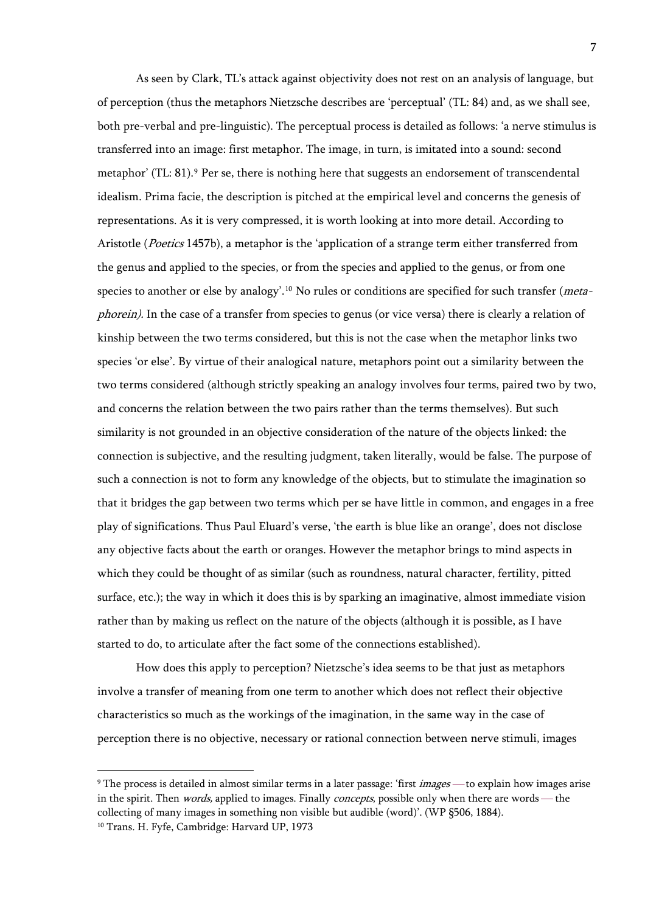As seen by Clark, TL's attack against objectivity does not rest on an analysis of language, but of perception (thus the metaphors Nietzsche describes are 'perceptual' (TL: 84) and, as we shall see, both pre-verbal and pre-linguistic). The perceptual process is detailed as follows: 'a nerve stimulus is transferred into an image: first metaphor. The image, in turn, is imitated into a sound: second metaphor' (TL: 81).<sup>[9](#page-6-0)</sup> Per se, there is nothing here that suggests an endorsement of transcendental idealism. Prima facie, the description is pitched at the empirical level and concerns the genesis of representations. As it is very compressed, it is worth looking at into more detail. According to Aristotle (Poetics 1457b), a metaphor is the 'application of a strange term either transferred from the genus and applied to the species, or from the species and applied to the genus, or from one species to another or else by analogy'.<sup>[10](#page-6-1)</sup> No rules or conditions are specified for such transfer (*meta*phorein). In the case of a transfer from species to genus (or vice versa) there is clearly a relation of kinship between the two terms considered, but this is not the case when the metaphor links two species 'or else'. By virtue of their analogical nature, metaphors point out a similarity between the two terms considered (although strictly speaking an analogy involves four terms, paired two by two, and concerns the relation between the two pairs rather than the terms themselves). But such similarity is not grounded in an objective consideration of the nature of the objects linked: the connection is subjective, and the resulting judgment, taken literally, would be false. The purpose of such a connection is not to form any knowledge of the objects, but to stimulate the imagination so that it bridges the gap between two terms which per se have little in common, and engages in a free play of significations. Thus Paul Eluard's verse, 'the earth is blue like an orange', does not disclose any objective facts about the earth or oranges. However the metaphor brings to mind aspects in which they could be thought of as similar (such as roundness, natural character, fertility, pitted surface, etc.); the way in which it does this is by sparking an imaginative, almost immediate vision rather than by making us reflect on the nature of the objects (although it is possible, as I have started to do, to articulate after the fact some of the connections established).

 How does this apply to perception? Nietzsche's idea seems to be that just as metaphors involve a transfer of meaning from one term to another which does not reflect their objective characteristics so much as the workings of the imagination, in the same way in the case of perception there is no objective, necessary or rational connection between nerve stimuli, images

<span id="page-6-1"></span><span id="page-6-0"></span><sup>&</sup>lt;sup>9</sup> The process is detailed in almost similar terms in a later passage: 'first *images* — to explain how images arise in the spirit. Then *words*, applied to images. Finally *concepts*, possible only when there are words — the collecting of many images in something non visible but audible (word)'. (WP §506, 1884). 10 Trans. H. Fyfe, Cambridge: Harvard UP, 1973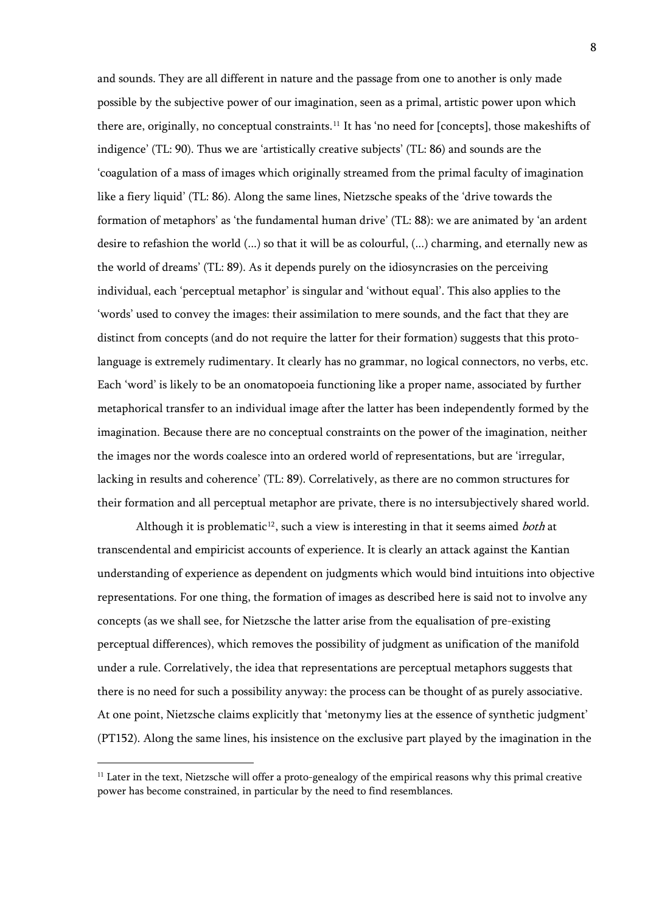and sounds. They are all different in nature and the passage from one to another is only made possible by the subjective power of our imagination, seen as a primal, artistic power upon which there are, originally, no conceptual constraints.[11](#page-7-0) It has 'no need for [concepts], those makeshifts of indigence' (TL: 90). Thus we are 'artistically creative subjects' (TL: 86) and sounds are the 'coagulation of a mass of images which originally streamed from the primal faculty of imagination like a fiery liquid' (TL: 86). Along the same lines, Nietzsche speaks of the 'drive towards the formation of metaphors' as 'the fundamental human drive' (TL: 88): we are animated by 'an ardent desire to refashion the world (...) so that it will be as colourful, (...) charming, and eternally new as the world of dreams' (TL: 89). As it depends purely on the idiosyncrasies on the perceiving individual, each 'perceptual metaphor' is singular and 'without equal'. This also applies to the 'words' used to convey the images: their assimilation to mere sounds, and the fact that they are distinct from concepts (and do not require the latter for their formation) suggests that this protolanguage is extremely rudimentary. It clearly has no grammar, no logical connectors, no verbs, etc. Each 'word' is likely to be an onomatopoeia functioning like a proper name, associated by further metaphorical transfer to an individual image after the latter has been independently formed by the imagination. Because there are no conceptual constraints on the power of the imagination, neither the images nor the words coalesce into an ordered world of representations, but are 'irregular, lacking in results and coherence' (TL: 89). Correlatively, as there are no common structures for their formation and all perceptual metaphor are private, there is no intersubjectively shared world.

<span id="page-7-1"></span>Although it is problematic<sup>[12](#page-7-1)</sup>, such a view is interesting in that it seems aimed *both* at transcendental and empiricist accounts of experience. It is clearly an attack against the Kantian understanding of experience as dependent on judgments which would bind intuitions into objective representations. For one thing, the formation of images as described here is said not to involve any concepts (as we shall see, for Nietzsche the latter arise from the equalisation of pre-existing perceptual differences), which removes the possibility of judgment as unification of the manifold under a rule. Correlatively, the idea that representations are perceptual metaphors suggests that there is no need for such a possibility anyway: the process can be thought of as purely associative. At one point, Nietzsche claims explicitly that 'metonymy lies at the essence of synthetic judgment' (PT152). Along the same lines, his insistence on the exclusive part played by the imagination in the

<span id="page-7-0"></span><sup>&</sup>lt;sup>11</sup> Later in the text, Nietzsche will offer a proto-genealogy of the empirical reasons why this primal creative power has become constrained, in particular by the need to find resemblances.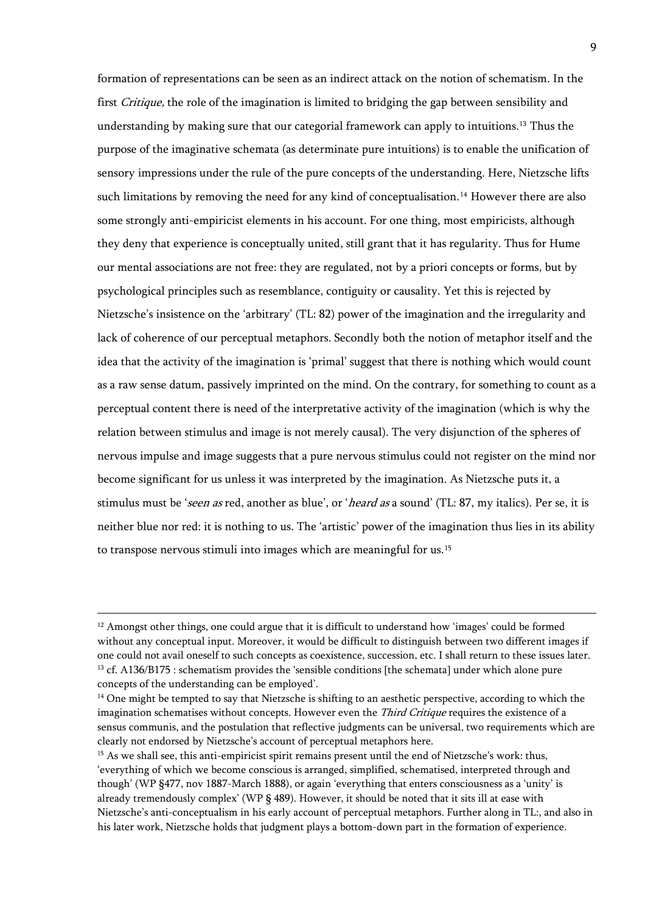formation of representations can be seen as an indirect attack on the notion of schematism. In the first *Critique*, the role of the imagination is limited to bridging the gap between sensibility and understanding by making sure that our categorial framework can apply to intuitions.[13](#page-8-0) Thus the purpose of the imaginative schemata (as determinate pure intuitions) is to enable the unification of sensory impressions under the rule of the pure concepts of the understanding. Here, Nietzsche lifts such limitations by removing the need for any kind of conceptualisation.<sup>[14](#page-8-1)</sup> However there are also some strongly anti-empiricist elements in his account. For one thing, most empiricists, although they deny that experience is conceptually united, still grant that it has regularity. Thus for Hume our mental associations are not free: they are regulated, not by a priori concepts or forms, but by psychological principles such as resemblance, contiguity or causality. Yet this is rejected by Nietzsche's insistence on the 'arbitrary' (TL: 82) power of the imagination and the irregularity and lack of coherence of our perceptual metaphors. Secondly both the notion of metaphor itself and the idea that the activity of the imagination is 'primal' suggest that there is nothing which would count as a raw sense datum, passively imprinted on the mind. On the contrary, for something to count as a perceptual content there is need of the interpretative activity of the imagination (which is why the relation between stimulus and image is not merely causal). The very disjunction of the spheres of nervous impulse and image suggests that a pure nervous stimulus could not register on the mind nor become significant for us unless it was interpreted by the imagination. As Nietzsche puts it, a stimulus must be 'seen as red, another as blue', or 'heard as a sound' (TL: 87, my italics). Per se, it is neither blue nor red: it is nothing to us. The 'artistic' power of the imagination thus lies in its ability to transpose nervous stimuli into images which are meaningful for us.[15](#page-8-2)

<sup>&</sup>lt;sup>12</sup> Amongst other things, one could argue that it is difficult to understand how 'images' could be formed without any conceptual input. Moreover, it would be difficult to distinguish between two different images if one could not avail oneself to such concepts as coexistence, succession, etc. I shall return to these issues later. <sup>13</sup> cf. A136/B175 : schematism provides the 'sensible conditions [the schemata] under which alone pure concepts of the understanding can be employed'.

<span id="page-8-1"></span><span id="page-8-0"></span><sup>&</sup>lt;sup>14</sup> One might be tempted to say that Nietzsche is shifting to an aesthetic perspective, according to which the imagination schematises without concepts. However even the *Third Critique* requires the existence of a sensus communis, and the postulation that reflective judgments can be universal, two requirements which are clearly not endorsed by Nietzsche's account of perceptual metaphors here.

<span id="page-8-2"></span><sup>&</sup>lt;sup>15</sup> As we shall see, this anti-empiricist spirit remains present until the end of Nietzsche's work: thus, 'everything of which we become conscious is arranged, simplified, schematised, interpreted through and though' (WP §477, nov 1887-March 1888), or again 'everything that enters consciousness as a 'unity' is already tremendously complex' (WP § 489). However, it should be noted that it sits ill at ease with Nietzsche's anti-conceptualism in his early account of perceptual metaphors. Further along in TL:, and also in his later work, Nietzsche holds that judgment plays a bottom-down part in the formation of experience.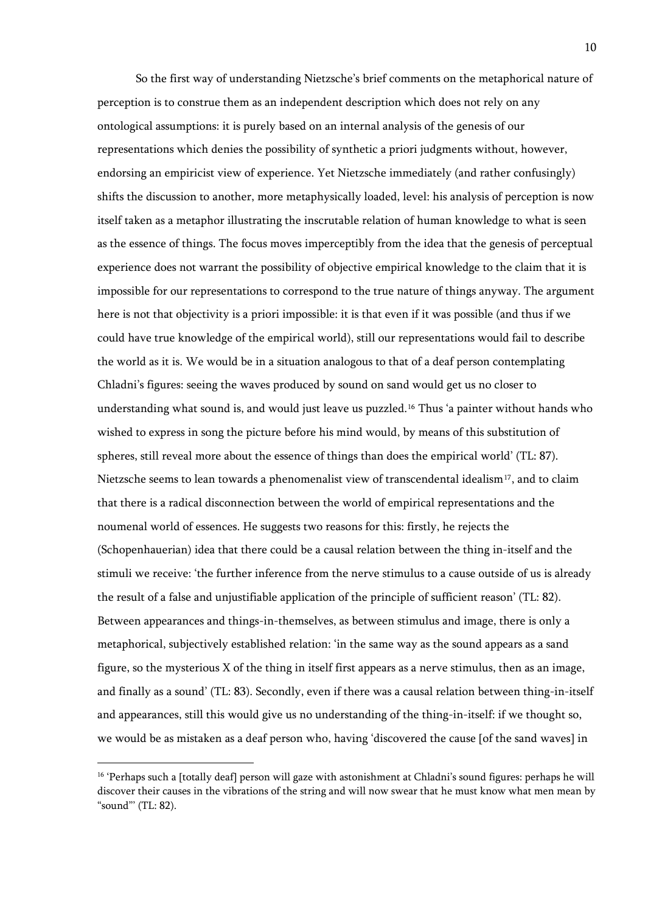So the first way of understanding Nietzsche's brief comments on the metaphorical nature of perception is to construe them as an independent description which does not rely on any ontological assumptions: it is purely based on an internal analysis of the genesis of our representations which denies the possibility of synthetic a priori judgments without, however, endorsing an empiricist view of experience. Yet Nietzsche immediately (and rather confusingly) shifts the discussion to another, more metaphysically loaded, level: his analysis of perception is now itself taken as a metaphor illustrating the inscrutable relation of human knowledge to what is seen as the essence of things. The focus moves imperceptibly from the idea that the genesis of perceptual experience does not warrant the possibility of objective empirical knowledge to the claim that it is impossible for our representations to correspond to the true nature of things anyway. The argument here is not that objectivity is a priori impossible: it is that even if it was possible (and thus if we could have true knowledge of the empirical world), still our representations would fail to describe the world as it is. We would be in a situation analogous to that of a deaf person contemplating Chladni's figures: seeing the waves produced by sound on sand would get us no closer to understanding what sound is, and would just leave us puzzled.[16](#page-9-0) Thus 'a painter without hands who wished to express in song the picture before his mind would, by means of this substitution of spheres, still reveal more about the essence of things than does the empirical world' (TL: 87). Nietzsche seems to lean towards a phenomenalist view of transcendental idealism<sup>[17](#page-9-1)</sup>, and to claim that there is a radical disconnection between the world of empirical representations and the noumenal world of essences. He suggests two reasons for this: firstly, he rejects the (Schopenhauerian) idea that there could be a causal relation between the thing in-itself and the stimuli we receive: 'the further inference from the nerve stimulus to a cause outside of us is already the result of a false and unjustifiable application of the principle of sufficient reason' (TL: 82). Between appearances and things-in-themselves, as between stimulus and image, there is only a metaphorical, subjectively established relation: 'in the same way as the sound appears as a sand figure, so the mysterious X of the thing in itself first appears as a nerve stimulus, then as an image, and finally as a sound' (TL: 83). Secondly, even if there was a causal relation between thing-in-itself and appearances, still this would give us no understanding of the thing-in-itself: if we thought so, we would be as mistaken as a deaf person who, having 'discovered the cause [of the sand waves] in

<span id="page-9-1"></span><span id="page-9-0"></span><sup>&</sup>lt;sup>16</sup> 'Perhaps such a [totally deaf] person will gaze with astonishment at Chladni's sound figures: perhaps he will discover their causes in the vibrations of the string and will now swear that he must know what men mean by "sound"' (TL: 82).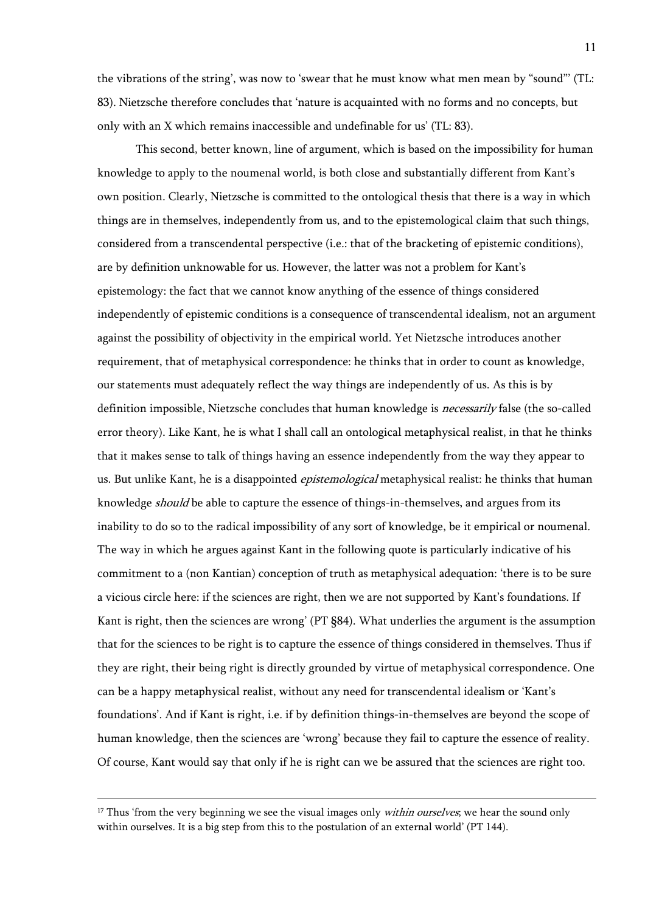the vibrations of the string', was now to 'swear that he must know what men mean by "sound"' (TL: 83). Nietzsche therefore concludes that 'nature is acquainted with no forms and no concepts, but only with an X which remains inaccessible and undefinable for us' (TL: 83).

 This second, better known, line of argument, which is based on the impossibility for human knowledge to apply to the noumenal world, is both close and substantially different from Kant's own position. Clearly, Nietzsche is committed to the ontological thesis that there is a way in which things are in themselves, independently from us, and to the epistemological claim that such things, considered from a transcendental perspective (i.e.: that of the bracketing of epistemic conditions), are by definition unknowable for us. However, the latter was not a problem for Kant's epistemology: the fact that we cannot know anything of the essence of things considered independently of epistemic conditions is a consequence of transcendental idealism, not an argument against the possibility of objectivity in the empirical world. Yet Nietzsche introduces another requirement, that of metaphysical correspondence: he thinks that in order to count as knowledge, our statements must adequately reflect the way things are independently of us. As this is by definition impossible, Nietzsche concludes that human knowledge is *necessarily* false (the so-called error theory). Like Kant, he is what I shall call an ontological metaphysical realist, in that he thinks that it makes sense to talk of things having an essence independently from the way they appear to us. But unlike Kant, he is a disappointed *epistemological* metaphysical realist: he thinks that human knowledge *should* be able to capture the essence of things-in-themselves, and argues from its inability to do so to the radical impossibility of any sort of knowledge, be it empirical or noumenal. The way in which he argues against Kant in the following quote is particularly indicative of his commitment to a (non Kantian) conception of truth as metaphysical adequation: 'there is to be sure a vicious circle here: if the sciences are right, then we are not supported by Kant's foundations. If Kant is right, then the sciences are wrong' (PT §84). What underlies the argument is the assumption that for the sciences to be right is to capture the essence of things considered in themselves. Thus if they are right, their being right is directly grounded by virtue of metaphysical correspondence. One can be a happy metaphysical realist, without any need for transcendental idealism or 'Kant's foundations'. And if Kant is right, i.e. if by definition things-in-themselves are beyond the scope of human knowledge, then the sciences are 'wrong' because they fail to capture the essence of reality. Of course, Kant would say that only if he is right can we be assured that the sciences are right too.

<sup>&</sup>lt;sup>17</sup> Thus 'from the very beginning we see the visual images only *within ourselves*; we hear the sound only within ourselves. It is a big step from this to the postulation of an external world' (PT 144).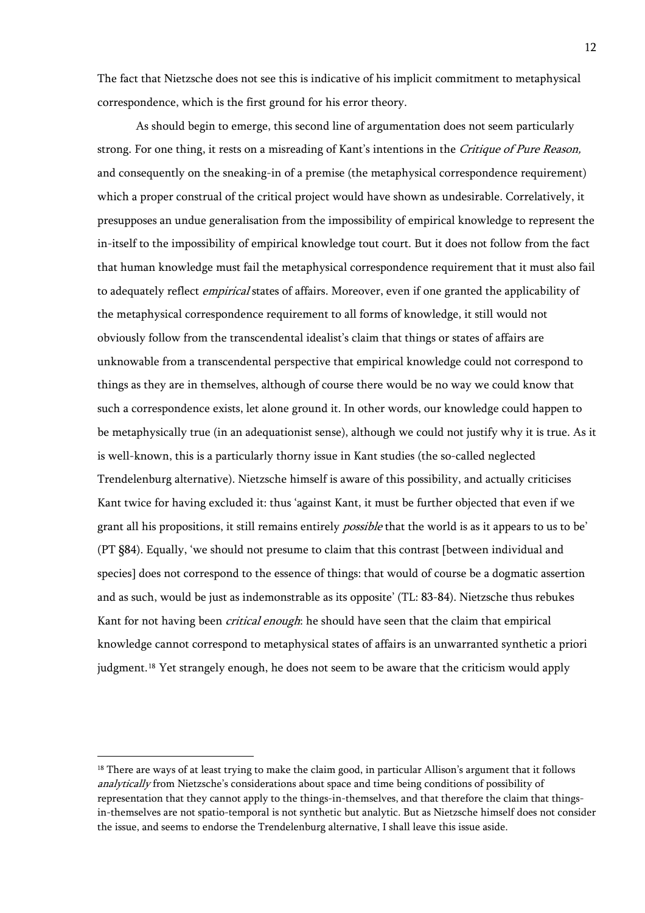The fact that Nietzsche does not see this is indicative of his implicit commitment to metaphysical correspondence, which is the first ground for his error theory.

 As should begin to emerge, this second line of argumentation does not seem particularly strong. For one thing, it rests on a misreading of Kant's intentions in the Critique of Pure Reason, and consequently on the sneaking-in of a premise (the metaphysical correspondence requirement) which a proper construal of the critical project would have shown as undesirable. Correlatively, it presupposes an undue generalisation from the impossibility of empirical knowledge to represent the in-itself to the impossibility of empirical knowledge tout court. But it does not follow from the fact that human knowledge must fail the metaphysical correspondence requirement that it must also fail to adequately reflect empirical states of affairs. Moreover, even if one granted the applicability of the metaphysical correspondence requirement to all forms of knowledge, it still would not obviously follow from the transcendental idealist's claim that things or states of affairs are unknowable from a transcendental perspective that empirical knowledge could not correspond to things as they are in themselves, although of course there would be no way we could know that such a correspondence exists, let alone ground it. In other words, our knowledge could happen to be metaphysically true (in an adequationist sense), although we could not justify why it is true. As it is well-known, this is a particularly thorny issue in Kant studies (the so-called neglected Trendelenburg alternative). Nietzsche himself is aware of this possibility, and actually criticises Kant twice for having excluded it: thus 'against Kant, it must be further objected that even if we grant all his propositions, it still remains entirely *possible* that the world is as it appears to us to be' (PT §84). Equally, 'we should not presume to claim that this contrast [between individual and species] does not correspond to the essence of things: that would of course be a dogmatic assertion and as such, would be just as indemonstrable as its opposite' (TL: 83-84). Nietzsche thus rebukes Kant for not having been *critical enough*: he should have seen that the claim that empirical knowledge cannot correspond to metaphysical states of affairs is an unwarranted synthetic a priori judgment.[18](#page-11-0) Yet strangely enough, he does not seem to be aware that the criticism would apply

<span id="page-11-0"></span><sup>&</sup>lt;sup>18</sup> There are ways of at least trying to make the claim good, in particular Allison's argument that it follows analytically from Nietzsche's considerations about space and time being conditions of possibility of representation that they cannot apply to the things-in-themselves, and that therefore the claim that thingsin-themselves are not spatio-temporal is not synthetic but analytic. But as Nietzsche himself does not consider the issue, and seems to endorse the Trendelenburg alternative, I shall leave this issue aside.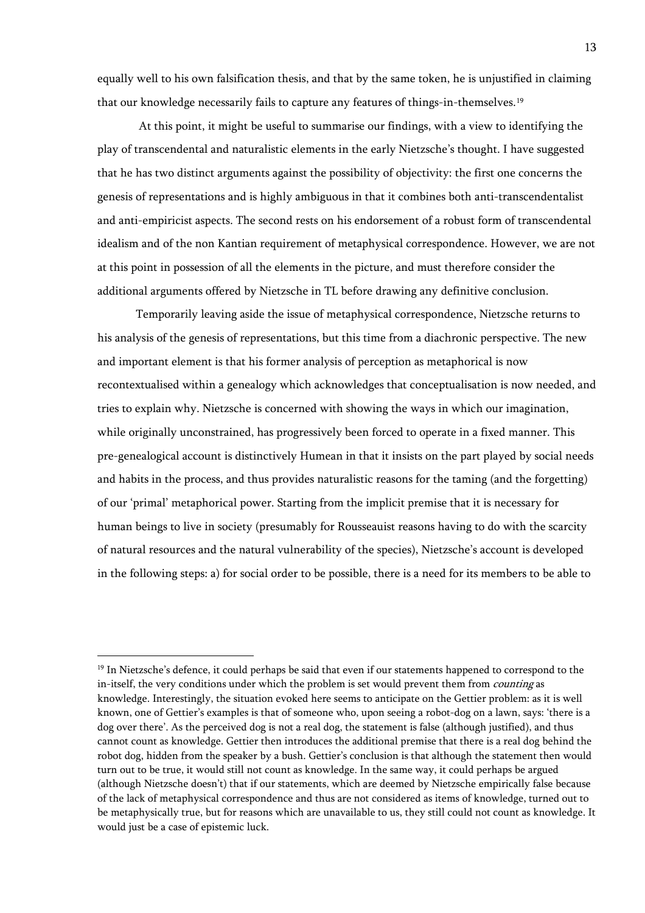equally well to his own falsification thesis, and that by the same token, he is unjustified in claiming that our knowledge necessarily fails to capture any features of things-in-themselves.[19](#page-12-0)

 At this point, it might be useful to summarise our findings, with a view to identifying the play of transcendental and naturalistic elements in the early Nietzsche's thought. I have suggested that he has two distinct arguments against the possibility of objectivity: the first one concerns the genesis of representations and is highly ambiguous in that it combines both anti-transcendentalist and anti-empiricist aspects. The second rests on his endorsement of a robust form of transcendental idealism and of the non Kantian requirement of metaphysical correspondence. However, we are not at this point in possession of all the elements in the picture, and must therefore consider the additional arguments offered by Nietzsche in TL before drawing any definitive conclusion.

 Temporarily leaving aside the issue of metaphysical correspondence, Nietzsche returns to his analysis of the genesis of representations, but this time from a diachronic perspective. The new and important element is that his former analysis of perception as metaphorical is now recontextualised within a genealogy which acknowledges that conceptualisation is now needed, and tries to explain why. Nietzsche is concerned with showing the ways in which our imagination, while originally unconstrained, has progressively been forced to operate in a fixed manner. This pre-genealogical account is distinctively Humean in that it insists on the part played by social needs and habits in the process, and thus provides naturalistic reasons for the taming (and the forgetting) of our 'primal' metaphorical power. Starting from the implicit premise that it is necessary for human beings to live in society (presumably for Rousseauist reasons having to do with the scarcity of natural resources and the natural vulnerability of the species), Nietzsche's account is developed in the following steps: a) for social order to be possible, there is a need for its members to be able to

<span id="page-12-0"></span><sup>&</sup>lt;sup>19</sup> In Nietzsche's defence, it could perhaps be said that even if our statements happened to correspond to the in-itself, the very conditions under which the problem is set would prevent them from *counting* as knowledge. Interestingly, the situation evoked here seems to anticipate on the Gettier problem: as it is well known, one of Gettier's examples is that of someone who, upon seeing a robot-dog on a lawn, says: 'there is a dog over there'. As the perceived dog is not a real dog, the statement is false (although justified), and thus cannot count as knowledge. Gettier then introduces the additional premise that there is a real dog behind the robot dog, hidden from the speaker by a bush. Gettier's conclusion is that although the statement then would turn out to be true, it would still not count as knowledge. In the same way, it could perhaps be argued (although Nietzsche doesn't) that if our statements, which are deemed by Nietzsche empirically false because of the lack of metaphysical correspondence and thus are not considered as items of knowledge, turned out to be metaphysically true, but for reasons which are unavailable to us, they still could not count as knowledge. It would just be a case of epistemic luck.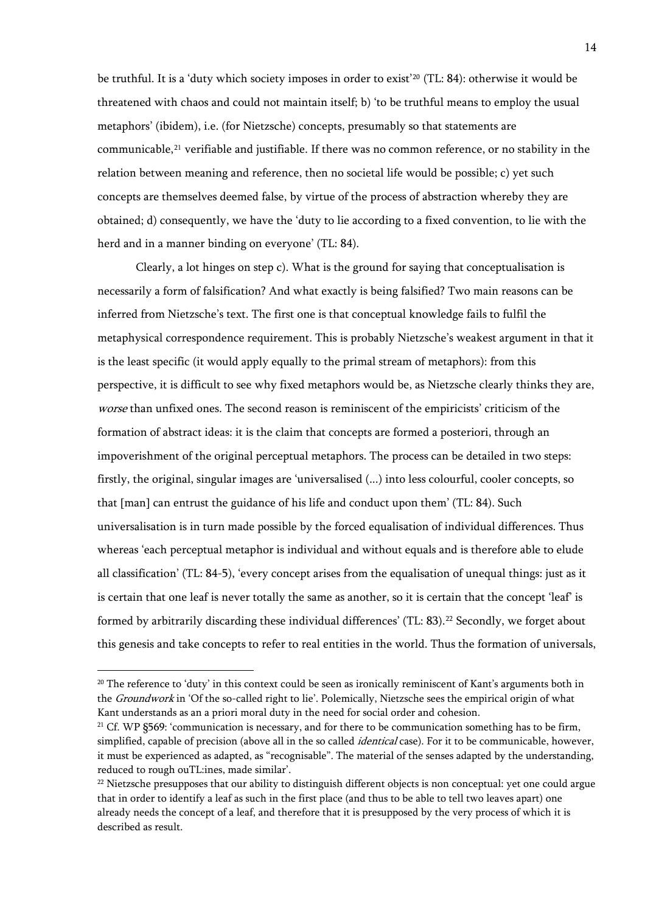be truthful. It is a 'duty which society imposes in order to exist'<sup>[20](#page-13-0)</sup> (TL: 84): otherwise it would be threatened with chaos and could not maintain itself; b) 'to be truthful means to employ the usual metaphors' (ibidem), i.e. (for Nietzsche) concepts, presumably so that statements are communicable,<sup>[21](#page-13-1)</sup> verifiable and justifiable. If there was no common reference, or no stability in the relation between meaning and reference, then no societal life would be possible; c) yet such concepts are themselves deemed false, by virtue of the process of abstraction whereby they are obtained; d) consequently, we have the 'duty to lie according to a fixed convention, to lie with the herd and in a manner binding on everyone' (TL: 84).

 Clearly, a lot hinges on step c). What is the ground for saying that conceptualisation is necessarily a form of falsification? And what exactly is being falsified? Two main reasons can be inferred from Nietzsche's text. The first one is that conceptual knowledge fails to fulfil the metaphysical correspondence requirement. This is probably Nietzsche's weakest argument in that it is the least specific (it would apply equally to the primal stream of metaphors): from this perspective, it is difficult to see why fixed metaphors would be, as Nietzsche clearly thinks they are, worse than unfixed ones. The second reason is reminiscent of the empiricists' criticism of the formation of abstract ideas: it is the claim that concepts are formed a posteriori, through an impoverishment of the original perceptual metaphors. The process can be detailed in two steps: firstly, the original, singular images are 'universalised (...) into less colourful, cooler concepts, so that [man] can entrust the guidance of his life and conduct upon them' (TL: 84). Such universalisation is in turn made possible by the forced equalisation of individual differences. Thus whereas 'each perceptual metaphor is individual and without equals and is therefore able to elude all classification' (TL: 84-5), 'every concept arises from the equalisation of unequal things: just as it is certain that one leaf is never totally the same as another, so it is certain that the concept 'leaf' is formed by arbitrarily discarding these individual differences' (TL: 83).<sup>[22](#page-13-2)</sup> Secondly, we forget about this genesis and take concepts to refer to real entities in the world. Thus the formation of universals,

<span id="page-13-0"></span><sup>&</sup>lt;sup>20</sup> The reference to 'duty' in this context could be seen as ironically reminiscent of Kant's arguments both in the *Groundwork* in 'Of the so-called right to lie'. Polemically, Nietzsche sees the empirical origin of what Kant understands as an a priori moral duty in the need for social order and cohesion.

<span id="page-13-1"></span><sup>&</sup>lt;sup>21</sup> Cf. WP §569: 'communication is necessary, and for there to be communication something has to be firm, simplified, capable of precision (above all in the so called *identical* case). For it to be communicable, however, it must be experienced as adapted, as "recognisable". The material of the senses adapted by the understanding, reduced to rough ouTL:ines, made similar'.

<span id="page-13-2"></span><sup>&</sup>lt;sup>22</sup> Nietzsche presupposes that our ability to distinguish different objects is non conceptual: yet one could argue that in order to identify a leaf as such in the first place (and thus to be able to tell two leaves apart) one already needs the concept of a leaf, and therefore that it is presupposed by the very process of which it is described as result.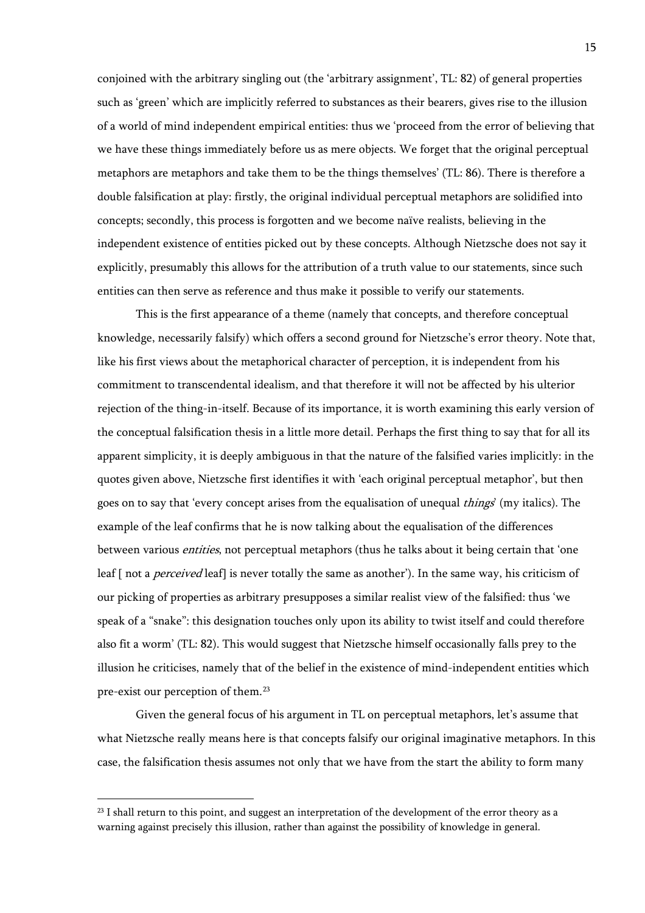conjoined with the arbitrary singling out (the 'arbitrary assignment', TL: 82) of general properties such as 'green' which are implicitly referred to substances as their bearers, gives rise to the illusion of a world of mind independent empirical entities: thus we 'proceed from the error of believing that we have these things immediately before us as mere objects. We forget that the original perceptual metaphors are metaphors and take them to be the things themselves' (TL: 86). There is therefore a double falsification at play: firstly, the original individual perceptual metaphors are solidified into concepts; secondly, this process is forgotten and we become naïve realists, believing in the independent existence of entities picked out by these concepts. Although Nietzsche does not say it explicitly, presumably this allows for the attribution of a truth value to our statements, since such entities can then serve as reference and thus make it possible to verify our statements.

 This is the first appearance of a theme (namely that concepts, and therefore conceptual knowledge, necessarily falsify) which offers a second ground for Nietzsche's error theory. Note that, like his first views about the metaphorical character of perception, it is independent from his commitment to transcendental idealism, and that therefore it will not be affected by his ulterior rejection of the thing-in-itself. Because of its importance, it is worth examining this early version of the conceptual falsification thesis in a little more detail. Perhaps the first thing to say that for all its apparent simplicity, it is deeply ambiguous in that the nature of the falsified varies implicitly: in the quotes given above, Nietzsche first identifies it with 'each original perceptual metaphor', but then goes on to say that 'every concept arises from the equalisation of unequal things' (my italics). The example of the leaf confirms that he is now talking about the equalisation of the differences between various *entities*, not perceptual metaphors (thus he talks about it being certain that 'one leaf [ not a *perceived* leaf] is never totally the same as another'). In the same way, his criticism of our picking of properties as arbitrary presupposes a similar realist view of the falsified: thus 'we speak of a "snake": this designation touches only upon its ability to twist itself and could therefore also fit a worm' (TL: 82). This would suggest that Nietzsche himself occasionally falls prey to the illusion he criticises, namely that of the belief in the existence of mind-independent entities which pre-exist our perception of them.[23](#page-14-0)

 Given the general focus of his argument in TL on perceptual metaphors, let's assume that what Nietzsche really means here is that concepts falsify our original imaginative metaphors. In this case, the falsification thesis assumes not only that we have from the start the ability to form many

<span id="page-14-0"></span> $^{23}$  I shall return to this point, and suggest an interpretation of the development of the error theory as a warning against precisely this illusion, rather than against the possibility of knowledge in general.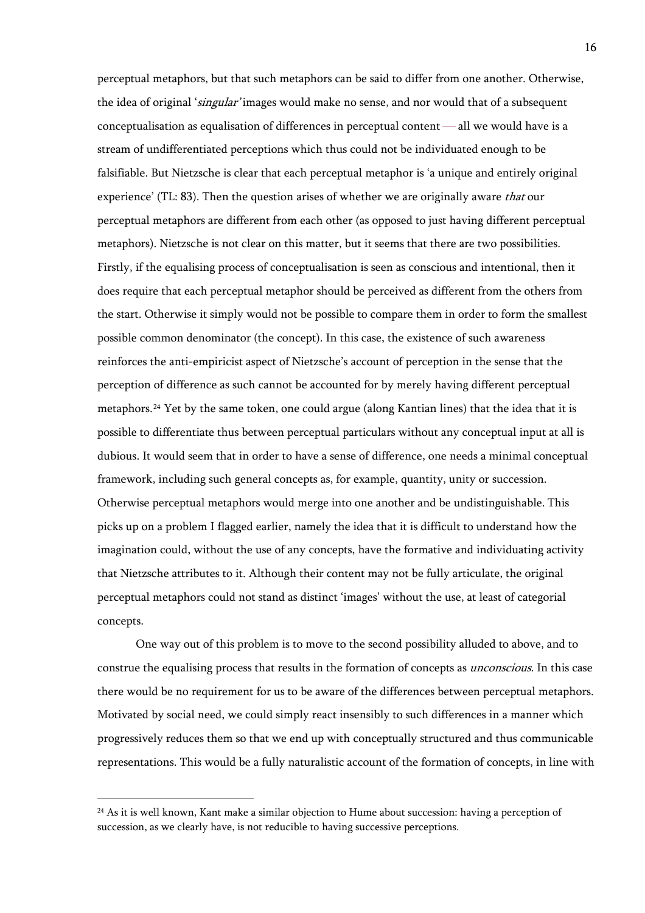perceptual metaphors, but that such metaphors can be said to differ from one another. Otherwise, the idea of original 'singular' images would make no sense, and nor would that of a subsequent conceptualisation as equalisation of differences in perceptual content — all we would have is a stream of undifferentiated perceptions which thus could not be individuated enough to be falsifiable. But Nietzsche is clear that each perceptual metaphor is 'a unique and entirely original experience' (TL: 83). Then the question arises of whether we are originally aware *that* our perceptual metaphors are different from each other (as opposed to just having different perceptual metaphors). Nietzsche is not clear on this matter, but it seems that there are two possibilities. Firstly, if the equalising process of conceptualisation is seen as conscious and intentional, then it does require that each perceptual metaphor should be perceived as different from the others from the start. Otherwise it simply would not be possible to compare them in order to form the smallest possible common denominator (the concept). In this case, the existence of such awareness reinforces the anti-empiricist aspect of Nietzsche's account of perception in the sense that the perception of difference as such cannot be accounted for by merely having different perceptual metaphors.[24](#page-15-0) Yet by the same token, one could argue (along Kantian lines) that the idea that it is possible to differentiate thus between perceptual particulars without any conceptual input at all is dubious. It would seem that in order to have a sense of difference, one needs a minimal conceptual framework, including such general concepts as, for example, quantity, unity or succession. Otherwise perceptual metaphors would merge into one another and be undistinguishable. This picks up on a problem I flagged earlier, namely the idea that it is difficult to understand how the imagination could, without the use of any concepts, have the formative and individuating activity that Nietzsche attributes to it. Although their content may not be fully articulate, the original perceptual metaphors could not stand as distinct 'images' without the use, at least of categorial concepts.

 One way out of this problem is to move to the second possibility alluded to above, and to construe the equalising process that results in the formation of concepts as *unconscious*. In this case there would be no requirement for us to be aware of the differences between perceptual metaphors. Motivated by social need, we could simply react insensibly to such differences in a manner which progressively reduces them so that we end up with conceptually structured and thus communicable representations. This would be a fully naturalistic account of the formation of concepts, in line with

<span id="page-15-0"></span> $24$  As it is well known, Kant make a similar objection to Hume about succession: having a perception of succession, as we clearly have, is not reducible to having successive perceptions.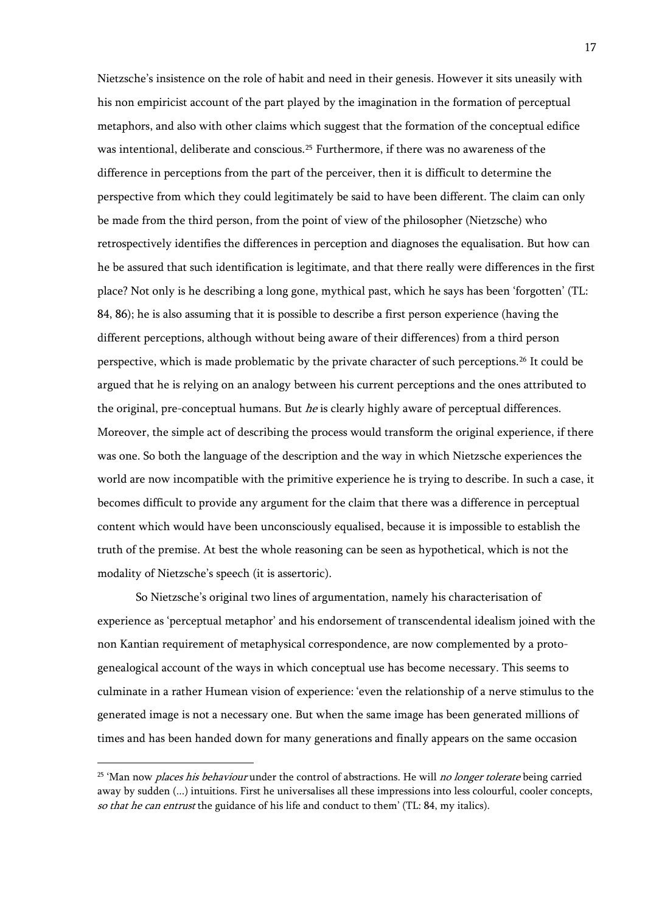Nietzsche's insistence on the role of habit and need in their genesis. However it sits uneasily with his non empiricist account of the part played by the imagination in the formation of perceptual metaphors, and also with other claims which suggest that the formation of the conceptual edifice was intentional, deliberate and conscious.[25](#page-16-0) Furthermore, if there was no awareness of the difference in perceptions from the part of the perceiver, then it is difficult to determine the perspective from which they could legitimately be said to have been different. The claim can only be made from the third person, from the point of view of the philosopher (Nietzsche) who retrospectively identifies the differences in perception and diagnoses the equalisation. But how can he be assured that such identification is legitimate, and that there really were differences in the first place? Not only is he describing a long gone, mythical past, which he says has been 'forgotten' (TL: 84, 86); he is also assuming that it is possible to describe a first person experience (having the different perceptions, although without being aware of their differences) from a third person perspective, which is made problematic by the private character of such perceptions.[26](#page-16-1) It could be argued that he is relying on an analogy between his current perceptions and the ones attributed to the original, pre-conceptual humans. But he is clearly highly aware of perceptual differences. Moreover, the simple act of describing the process would transform the original experience, if there was one. So both the language of the description and the way in which Nietzsche experiences the world are now incompatible with the primitive experience he is trying to describe. In such a case, it becomes difficult to provide any argument for the claim that there was a difference in perceptual content which would have been unconsciously equalised, because it is impossible to establish the truth of the premise. At best the whole reasoning can be seen as hypothetical, which is not the modality of Nietzsche's speech (it is assertoric).

 So Nietzsche's original two lines of argumentation, namely his characterisation of experience as 'perceptual metaphor' and his endorsement of transcendental idealism joined with the non Kantian requirement of metaphysical correspondence, are now complemented by a protogenealogical account of the ways in which conceptual use has become necessary. This seems to culminate in a rather Humean vision of experience: 'even the relationship of a nerve stimulus to the generated image is not a necessary one. But when the same image has been generated millions of times and has been handed down for many generations and finally appears on the same occasion

<span id="page-16-1"></span><span id="page-16-0"></span><sup>&</sup>lt;sup>25</sup> 'Man now *places his behaviour* under the control of abstractions. He will *no longer tolerate* being carried away by sudden (...) intuitions. First he universalises all these impressions into less colourful, cooler concepts, so that he can entrust the guidance of his life and conduct to them' (TL: 84, my italics).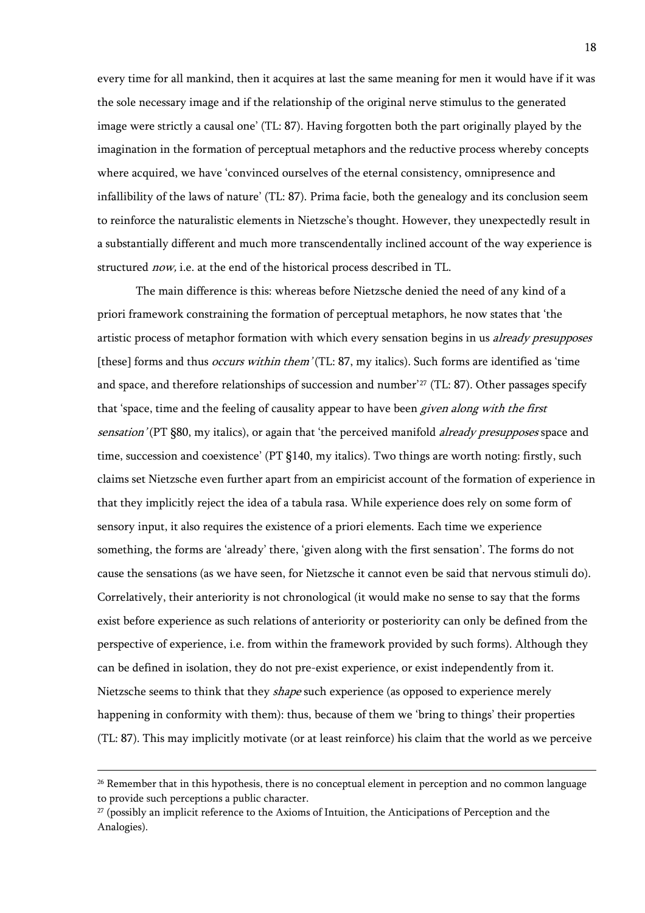every time for all mankind, then it acquires at last the same meaning for men it would have if it was the sole necessary image and if the relationship of the original nerve stimulus to the generated image were strictly a causal one' (TL: 87). Having forgotten both the part originally played by the imagination in the formation of perceptual metaphors and the reductive process whereby concepts where acquired, we have 'convinced ourselves of the eternal consistency, omnipresence and infallibility of the laws of nature' (TL: 87). Prima facie, both the genealogy and its conclusion seem to reinforce the naturalistic elements in Nietzsche's thought. However, they unexpectedly result in a substantially different and much more transcendentally inclined account of the way experience is structured now, i.e. at the end of the historical process described in TL.

 The main difference is this: whereas before Nietzsche denied the need of any kind of a priori framework constraining the formation of perceptual metaphors, he now states that 'the artistic process of metaphor formation with which every sensation begins in us *already presupposes* [these] forms and thus *occurs within them'* (TL: 87, my italics). Such forms are identified as 'time and space, and therefore relationships of succession and number<sup>'[27](#page-17-0)</sup> (TL: 87). Other passages specify that 'space, time and the feeling of causality appear to have been given along with the first sensation' (PT §80, my italics), or again that 'the perceived manifold *already presupposes* space and time, succession and coexistence' (PT §140, my italics). Two things are worth noting: firstly, such claims set Nietzsche even further apart from an empiricist account of the formation of experience in that they implicitly reject the idea of a tabula rasa. While experience does rely on some form of sensory input, it also requires the existence of a priori elements. Each time we experience something, the forms are 'already' there, 'given along with the first sensation'. The forms do not cause the sensations (as we have seen, for Nietzsche it cannot even be said that nervous stimuli do). Correlatively, their anteriority is not chronological (it would make no sense to say that the forms exist before experience as such relations of anteriority or posteriority can only be defined from the perspective of experience, i.e. from within the framework provided by such forms). Although they can be defined in isolation, they do not pre-exist experience, or exist independently from it. Nietzsche seems to think that they *shape* such experience (as opposed to experience merely happening in conformity with them): thus, because of them we 'bring to things' their properties (TL: 87). This may implicitly motivate (or at least reinforce) his claim that the world as we perceive

<sup>&</sup>lt;sup>26</sup> Remember that in this hypothesis, there is no conceptual element in perception and no common language to provide such perceptions a public character.

<span id="page-17-0"></span><sup>&</sup>lt;sup>27</sup> (possibly an implicit reference to the Axioms of Intuition, the Anticipations of Perception and the Analogies).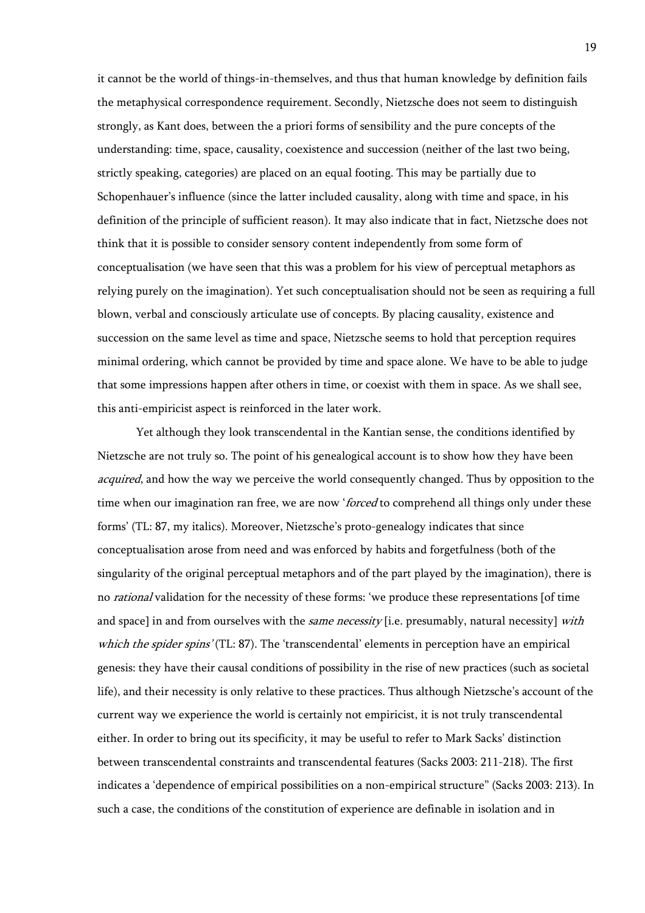it cannot be the world of things-in-themselves, and thus that human knowledge by definition fails the metaphysical correspondence requirement. Secondly, Nietzsche does not seem to distinguish strongly, as Kant does, between the a priori forms of sensibility and the pure concepts of the understanding: time, space, causality, coexistence and succession (neither of the last two being, strictly speaking, categories) are placed on an equal footing. This may be partially due to Schopenhauer's influence (since the latter included causality, along with time and space, in his definition of the principle of sufficient reason). It may also indicate that in fact, Nietzsche does not think that it is possible to consider sensory content independently from some form of conceptualisation (we have seen that this was a problem for his view of perceptual metaphors as relying purely on the imagination). Yet such conceptualisation should not be seen as requiring a full blown, verbal and consciously articulate use of concepts. By placing causality, existence and succession on the same level as time and space, Nietzsche seems to hold that perception requires minimal ordering, which cannot be provided by time and space alone. We have to be able to judge that some impressions happen after others in time, or coexist with them in space. As we shall see, this anti-empiricist aspect is reinforced in the later work.

 Yet although they look transcendental in the Kantian sense, the conditions identified by Nietzsche are not truly so. The point of his genealogical account is to show how they have been acquired, and how the way we perceive the world consequently changed. Thus by opposition to the time when our imagination ran free, we are now 'forced to comprehend all things only under these forms' (TL: 87, my italics). Moreover, Nietzsche's proto-genealogy indicates that since conceptualisation arose from need and was enforced by habits and forgetfulness (both of the singularity of the original perceptual metaphors and of the part played by the imagination), there is no rational validation for the necessity of these forms: 'we produce these representations [of time and space] in and from ourselves with the *same necessity* [i.e. presumably, natural necessity] with which the spider spins' (TL: 87). The 'transcendental' elements in perception have an empirical genesis: they have their causal conditions of possibility in the rise of new practices (such as societal life), and their necessity is only relative to these practices. Thus although Nietzsche's account of the current way we experience the world is certainly not empiricist, it is not truly transcendental either. In order to bring out its specificity, it may be useful to refer to Mark Sacks' distinction between transcendental constraints and transcendental features (Sacks 2003: 211-218). The first indicates a 'dependence of empirical possibilities on a non-empirical structure" (Sacks 2003: 213). In such a case, the conditions of the constitution of experience are definable in isolation and in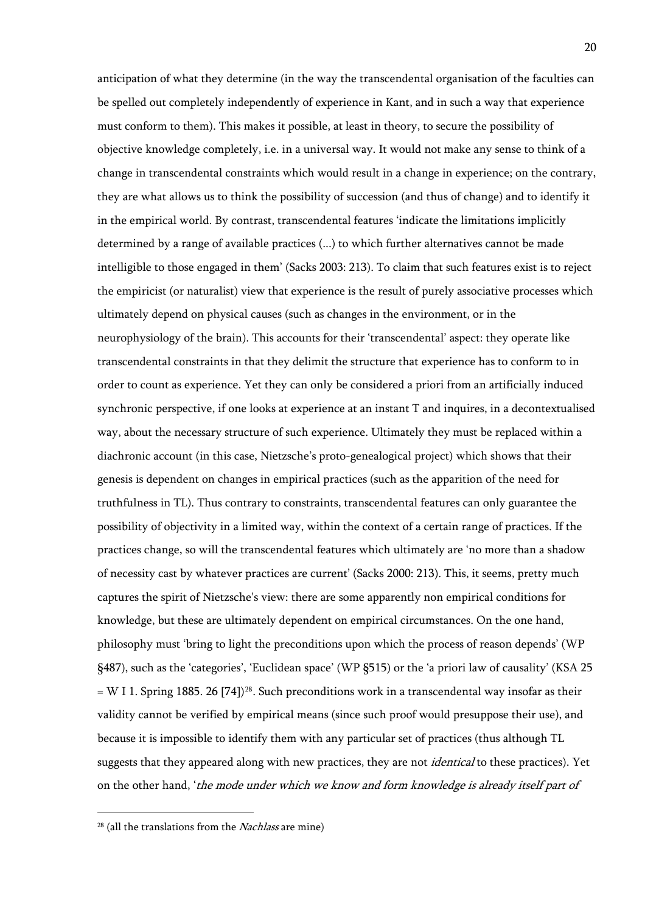anticipation of what they determine (in the way the transcendental organisation of the faculties can be spelled out completely independently of experience in Kant, and in such a way that experience must conform to them). This makes it possible, at least in theory, to secure the possibility of objective knowledge completely, i.e. in a universal way. It would not make any sense to think of a change in transcendental constraints which would result in a change in experience; on the contrary, they are what allows us to think the possibility of succession (and thus of change) and to identify it in the empirical world. By contrast, transcendental features 'indicate the limitations implicitly determined by a range of available practices (...) to which further alternatives cannot be made intelligible to those engaged in them' (Sacks 2003: 213). To claim that such features exist is to reject the empiricist (or naturalist) view that experience is the result of purely associative processes which ultimately depend on physical causes (such as changes in the environment, or in the neurophysiology of the brain). This accounts for their 'transcendental' aspect: they operate like transcendental constraints in that they delimit the structure that experience has to conform to in order to count as experience. Yet they can only be considered a priori from an artificially induced synchronic perspective, if one looks at experience at an instant T and inquires, in a decontextualised way, about the necessary structure of such experience. Ultimately they must be replaced within a diachronic account (in this case, Nietzsche's proto-genealogical project) which shows that their genesis is dependent on changes in empirical practices (such as the apparition of the need for truthfulness in TL). Thus contrary to constraints, transcendental features can only guarantee the possibility of objectivity in a limited way, within the context of a certain range of practices. If the practices change, so will the transcendental features which ultimately are 'no more than a shadow of necessity cast by whatever practices are current' (Sacks 2000: 213). This, it seems, pretty much captures the spirit of Nietzsche's view: there are some apparently non empirical conditions for knowledge, but these are ultimately dependent on empirical circumstances. On the one hand, philosophy must 'bring to light the preconditions upon which the process of reason depends' (WP §487), such as the 'categories', 'Euclidean space' (WP §515) or the 'a priori law of causality' (KSA 25  $=$  W I 1. Spring 1885. 26 [74])<sup>[28](#page-19-0)</sup>. Such preconditions work in a transcendental way insofar as their validity cannot be verified by empirical means (since such proof would presuppose their use), and because it is impossible to identify them with any particular set of practices (thus although TL suggests that they appeared along with new practices, they are not *identical* to these practices). Yet on the other hand, 'the mode under which we know and form knowledge is already itself part of

<span id="page-19-0"></span> $28$  (all the translations from the *Nachlass* are mine)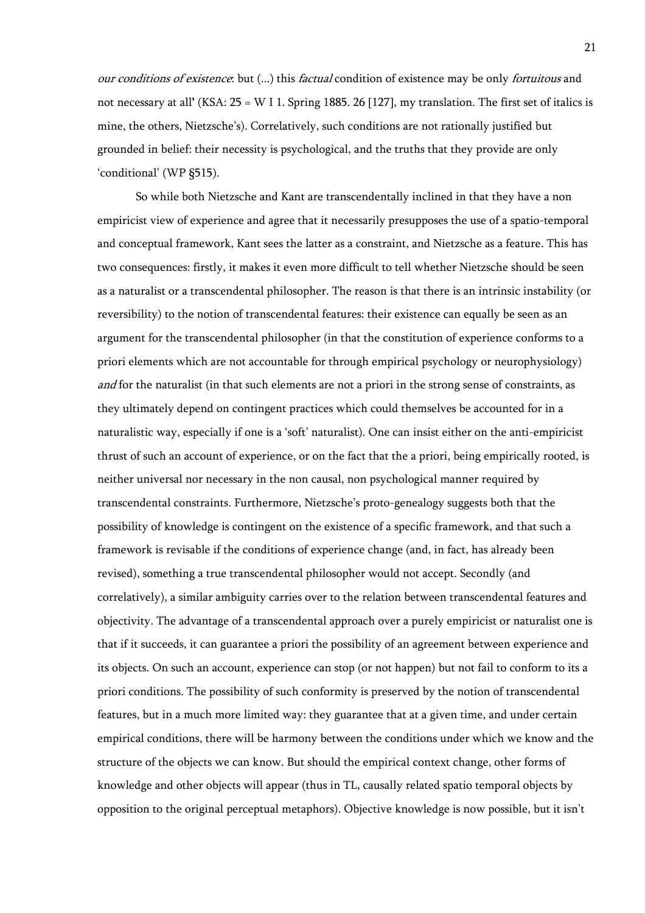our conditions of existence: but (...) this factual condition of existence may be only fortuitous and not necessary at all' (KSA: 25 = W I 1. Spring 1885. 26 [127], my translation. The first set of italics is mine, the others, Nietzsche's). Correlatively, such conditions are not rationally justified but grounded in belief: their necessity is psychological, and the truths that they provide are only 'conditional' (WP §515).

 So while both Nietzsche and Kant are transcendentally inclined in that they have a non empiricist view of experience and agree that it necessarily presupposes the use of a spatio-temporal and conceptual framework, Kant sees the latter as a constraint, and Nietzsche as a feature. This has two consequences: firstly, it makes it even more difficult to tell whether Nietzsche should be seen as a naturalist or a transcendental philosopher. The reason is that there is an intrinsic instability (or reversibility) to the notion of transcendental features: their existence can equally be seen as an argument for the transcendental philosopher (in that the constitution of experience conforms to a priori elements which are not accountable for through empirical psychology or neurophysiology) and for the naturalist (in that such elements are not a priori in the strong sense of constraints, as they ultimately depend on contingent practices which could themselves be accounted for in a naturalistic way, especially if one is a 'soft' naturalist). One can insist either on the anti-empiricist thrust of such an account of experience, or on the fact that the a priori, being empirically rooted, is neither universal nor necessary in the non causal, non psychological manner required by transcendental constraints. Furthermore, Nietzsche's proto-genealogy suggests both that the possibility of knowledge is contingent on the existence of a specific framework, and that such a framework is revisable if the conditions of experience change (and, in fact, has already been revised), something a true transcendental philosopher would not accept. Secondly (and correlatively), a similar ambiguity carries over to the relation between transcendental features and objectivity. The advantage of a transcendental approach over a purely empiricist or naturalist one is that if it succeeds, it can guarantee a priori the possibility of an agreement between experience and its objects. On such an account, experience can stop (or not happen) but not fail to conform to its a priori conditions. The possibility of such conformity is preserved by the notion of transcendental features, but in a much more limited way: they guarantee that at a given time, and under certain empirical conditions, there will be harmony between the conditions under which we know and the structure of the objects we can know. But should the empirical context change, other forms of knowledge and other objects will appear (thus in TL, causally related spatio temporal objects by opposition to the original perceptual metaphors). Objective knowledge is now possible, but it isn't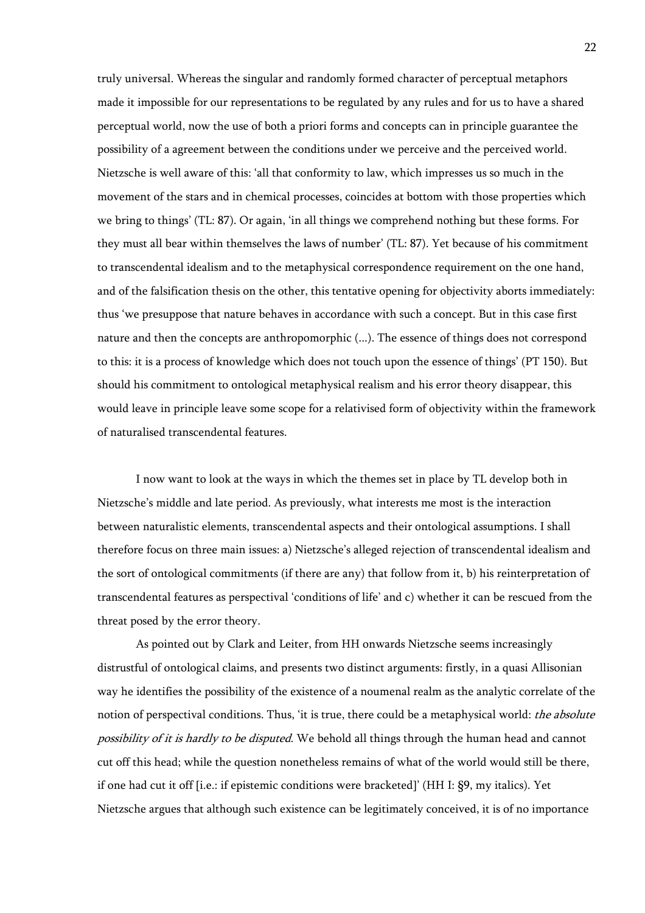truly universal. Whereas the singular and randomly formed character of perceptual metaphors made it impossible for our representations to be regulated by any rules and for us to have a shared perceptual world, now the use of both a priori forms and concepts can in principle guarantee the possibility of a agreement between the conditions under we perceive and the perceived world. Nietzsche is well aware of this: 'all that conformity to law, which impresses us so much in the movement of the stars and in chemical processes, coincides at bottom with those properties which we bring to things' (TL: 87). Or again, 'in all things we comprehend nothing but these forms. For they must all bear within themselves the laws of number' (TL: 87). Yet because of his commitment to transcendental idealism and to the metaphysical correspondence requirement on the one hand, and of the falsification thesis on the other, this tentative opening for objectivity aborts immediately: thus 'we presuppose that nature behaves in accordance with such a concept. But in this case first nature and then the concepts are anthropomorphic (...). The essence of things does not correspond to this: it is a process of knowledge which does not touch upon the essence of things' (PT 150). But should his commitment to ontological metaphysical realism and his error theory disappear, this would leave in principle leave some scope for a relativised form of objectivity within the framework of naturalised transcendental features.

 I now want to look at the ways in which the themes set in place by TL develop both in Nietzsche's middle and late period. As previously, what interests me most is the interaction between naturalistic elements, transcendental aspects and their ontological assumptions. I shall therefore focus on three main issues: a) Nietzsche's alleged rejection of transcendental idealism and the sort of ontological commitments (if there are any) that follow from it, b) his reinterpretation of transcendental features as perspectival 'conditions of life' and c) whether it can be rescued from the threat posed by the error theory.

 As pointed out by Clark and Leiter, from HH onwards Nietzsche seems increasingly distrustful of ontological claims, and presents two distinct arguments: firstly, in a quasi Allisonian way he identifies the possibility of the existence of a noumenal realm as the analytic correlate of the notion of perspectival conditions. Thus, 'it is true, there could be a metaphysical world: the absolute possibility of it is hardly to be disputed. We behold all things through the human head and cannot cut off this head; while the question nonetheless remains of what of the world would still be there, if one had cut it off [i.e.: if epistemic conditions were bracketed]' (HH I: §9, my italics). Yet Nietzsche argues that although such existence can be legitimately conceived, it is of no importance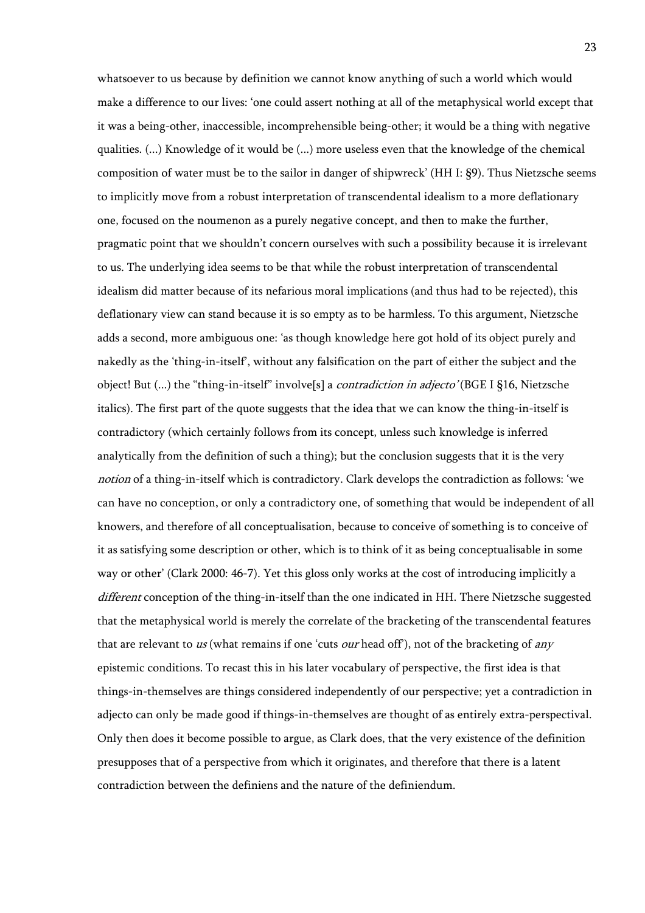whatsoever to us because by definition we cannot know anything of such a world which would make a difference to our lives: 'one could assert nothing at all of the metaphysical world except that it was a being-other, inaccessible, incomprehensible being-other; it would be a thing with negative qualities. (...) Knowledge of it would be (...) more useless even that the knowledge of the chemical composition of water must be to the sailor in danger of shipwreck' (HH I: §9). Thus Nietzsche seems to implicitly move from a robust interpretation of transcendental idealism to a more deflationary one, focused on the noumenon as a purely negative concept, and then to make the further, pragmatic point that we shouldn't concern ourselves with such a possibility because it is irrelevant to us. The underlying idea seems to be that while the robust interpretation of transcendental idealism did matter because of its nefarious moral implications (and thus had to be rejected), this deflationary view can stand because it is so empty as to be harmless. To this argument, Nietzsche adds a second, more ambiguous one: 'as though knowledge here got hold of its object purely and nakedly as the 'thing-in-itself', without any falsification on the part of either the subject and the object! But (...) the "thing-in-itself" involve[s] a *contradiction in adjecto*' (BGE I §16, Nietzsche italics). The first part of the quote suggests that the idea that we can know the thing-in-itself is contradictory (which certainly follows from its concept, unless such knowledge is inferred analytically from the definition of such a thing); but the conclusion suggests that it is the very notion of a thing-in-itself which is contradictory. Clark develops the contradiction as follows: 'we can have no conception, or only a contradictory one, of something that would be independent of all knowers, and therefore of all conceptualisation, because to conceive of something is to conceive of it as satisfying some description or other, which is to think of it as being conceptualisable in some way or other' (Clark 2000: 46-7). Yet this gloss only works at the cost of introducing implicitly a different conception of the thing-in-itself than the one indicated in HH. There Nietzsche suggested that the metaphysical world is merely the correlate of the bracketing of the transcendental features that are relevant to us (what remains if one 'cuts *our* head off'), not of the bracketing of *any* epistemic conditions. To recast this in his later vocabulary of perspective, the first idea is that things-in-themselves are things considered independently of our perspective; yet a contradiction in adjecto can only be made good if things-in-themselves are thought of as entirely extra-perspectival. Only then does it become possible to argue, as Clark does, that the very existence of the definition presupposes that of a perspective from which it originates, and therefore that there is a latent contradiction between the definiens and the nature of the definiendum.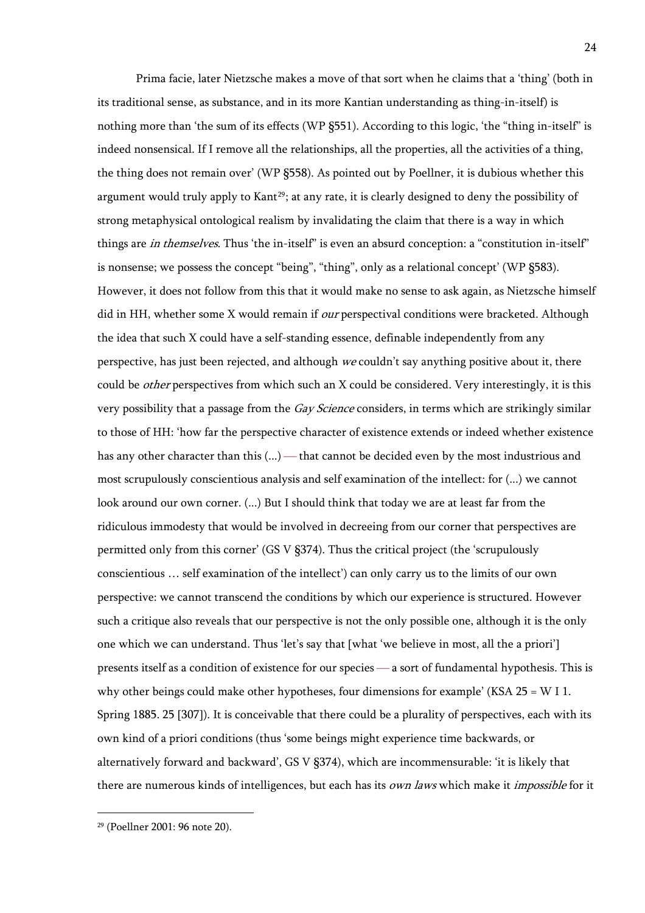Prima facie, later Nietzsche makes a move of that sort when he claims that a 'thing' (both in its traditional sense, as substance, and in its more Kantian understanding as thing-in-itself) is nothing more than 'the sum of its effects (WP §551). According to this logic, 'the "thing in-itself" is indeed nonsensical. If I remove all the relationships, all the properties, all the activities of a thing, the thing does not remain over' (WP §558). As pointed out by Poellner, it is dubious whether this argument would truly apply to Kant<sup>[29](#page-23-0)</sup>; at any rate, it is clearly designed to deny the possibility of strong metaphysical ontological realism by invalidating the claim that there is a way in which things are *in themselves*. Thus 'the in-itself" is even an absurd conception: a "constitution in-itself" is nonsense; we possess the concept "being", "thing", only as a relational concept' (WP §583). However, it does not follow from this that it would make no sense to ask again, as Nietzsche himself did in HH, whether some X would remain if *our* perspectival conditions were bracketed. Although the idea that such X could have a self-standing essence, definable independently from any perspective, has just been rejected, and although we couldn't say anything positive about it, there could be other perspectives from which such an X could be considered. Very interestingly, it is this very possibility that a passage from the *Gay Science* considers, in terms which are strikingly similar to those of HH: 'how far the perspective character of existence extends or indeed whether existence has any other character than this  $(...)$  — that cannot be decided even by the most industrious and most scrupulously conscientious analysis and self examination of the intellect: for (...) we cannot look around our own corner. (...) But I should think that today we are at least far from the ridiculous immodesty that would be involved in decreeing from our corner that perspectives are permitted only from this corner' (GS V §374). Thus the critical project (the 'scrupulously conscientious … self examination of the intellect') can only carry us to the limits of our own perspective: we cannot transcend the conditions by which our experience is structured. However such a critique also reveals that our perspective is not the only possible one, although it is the only one which we can understand. Thus 'let's say that [what 'we believe in most, all the a priori'] presents itself as a condition of existence for our species — a sort of fundamental hypothesis. This is why other beings could make other hypotheses, four dimensions for example' (KSA  $25 = W11$ . Spring 1885. 25 [307]). It is conceivable that there could be a plurality of perspectives, each with its own kind of a priori conditions (thus 'some beings might experience time backwards, or alternatively forward and backward', GS V §374), which are incommensurable: 'it is likely that there are numerous kinds of intelligences, but each has its *own laws* which make it *impossible* for it

<span id="page-23-0"></span><sup>29 (</sup>Poellner 2001: 96 note 20).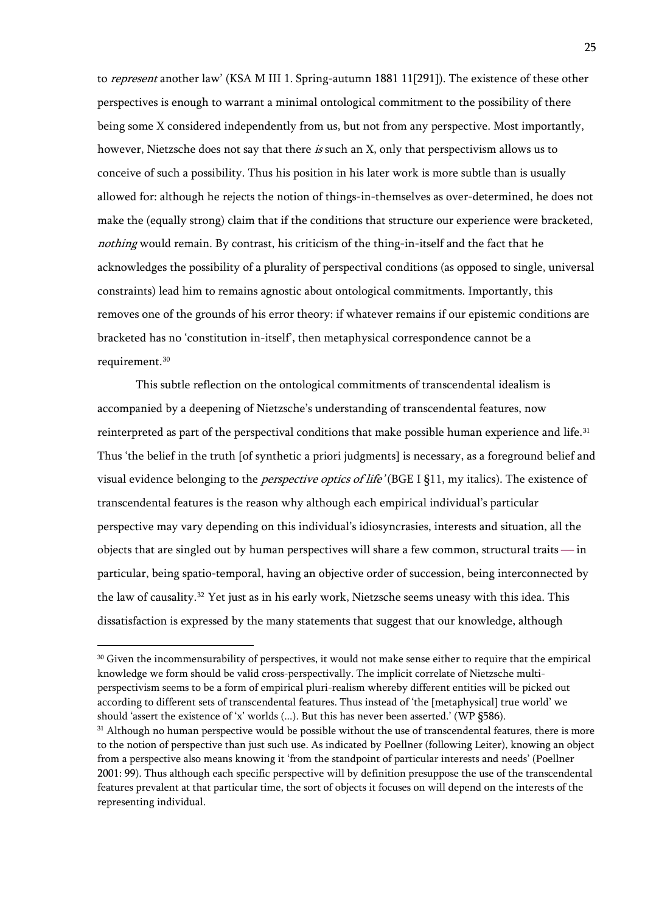to represent another law' (KSA M III 1. Spring-autumn 1881 11[291]). The existence of these other perspectives is enough to warrant a minimal ontological commitment to the possibility of there being some X considered independently from us, but not from any perspective. Most importantly, however, Nietzsche does not say that there is such an X, only that perspectivism allows us to conceive of such a possibility. Thus his position in his later work is more subtle than is usually allowed for: although he rejects the notion of things-in-themselves as over-determined, he does not make the (equally strong) claim that if the conditions that structure our experience were bracketed, nothing would remain. By contrast, his criticism of the thing-in-itself and the fact that he acknowledges the possibility of a plurality of perspectival conditions (as opposed to single, universal constraints) lead him to remains agnostic about ontological commitments. Importantly, this removes one of the grounds of his error theory: if whatever remains if our epistemic conditions are bracketed has no 'constitution in-itself', then metaphysical correspondence cannot be a requirement.[30](#page-24-0)

 This subtle reflection on the ontological commitments of transcendental idealism is accompanied by a deepening of Nietzsche's understanding of transcendental features, now reinterpreted as part of the perspectival conditions that make possible human experience and life.<sup>[31](#page-24-1)</sup> Thus 'the belief in the truth [of synthetic a priori judgments] is necessary, as a foreground belief and visual evidence belonging to the *perspective optics of life* '(BGE I §11, my italics). The existence of transcendental features is the reason why although each empirical individual's particular perspective may vary depending on this individual's idiosyncrasies, interests and situation, all the objects that are singled out by human perspectives will share a few common, structural traits  $\frac{1}{\sqrt{1-\frac{1}{n}}}$ particular, being spatio-temporal, having an objective order of succession, being interconnected by the law of causality.[32](#page-24-2) Yet just as in his early work, Nietzsche seems uneasy with this idea. This dissatisfaction is expressed by the many statements that suggest that our knowledge, although

<span id="page-24-2"></span><span id="page-24-0"></span><sup>&</sup>lt;sup>30</sup> Given the incommensurability of perspectives, it would not make sense either to require that the empirical knowledge we form should be valid cross-perspectivally. The implicit correlate of Nietzsche multiperspectivism seems to be a form of empirical pluri-realism whereby different entities will be picked out according to different sets of transcendental features. Thus instead of 'the [metaphysical] true world' we should 'assert the existence of 'x' worlds (...). But this has never been asserted.' (WP §586).

<span id="page-24-1"></span><sup>&</sup>lt;sup>31</sup> Although no human perspective would be possible without the use of transcendental features, there is more to the notion of perspective than just such use. As indicated by Poellner (following Leiter), knowing an object from a perspective also means knowing it 'from the standpoint of particular interests and needs' (Poellner 2001: 99). Thus although each specific perspective will by definition presuppose the use of the transcendental features prevalent at that particular time, the sort of objects it focuses on will depend on the interests of the representing individual.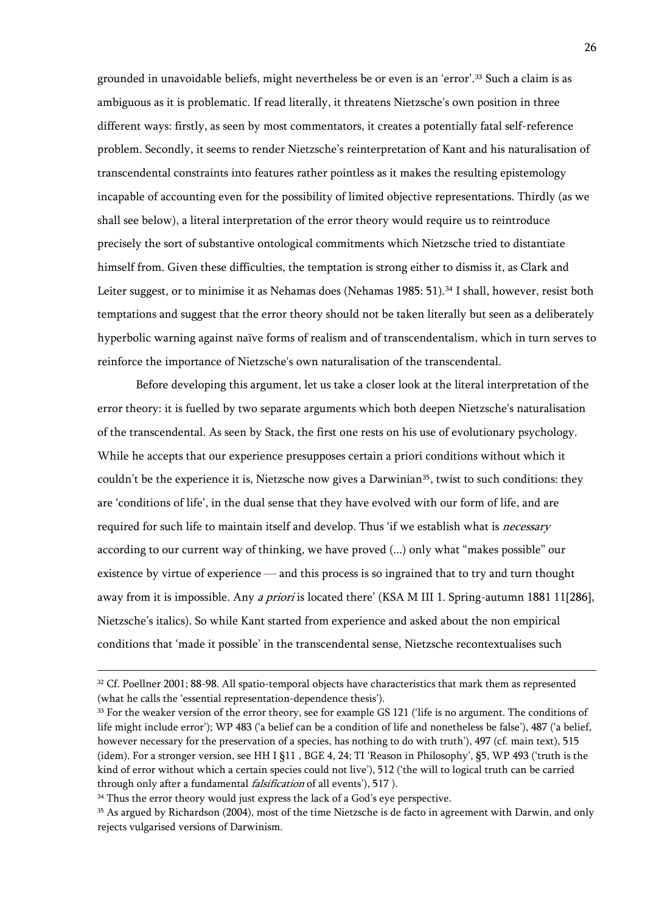grounded in unavoidable beliefs, might nevertheless be or even is an 'error'.[33](#page-25-0) Such a claim is as ambiguous as it is problematic. If read literally, it threatens Nietzsche's own position in three different ways: firstly, as seen by most commentators, it creates a potentially fatal self-reference problem. Secondly, it seems to render Nietzsche's reinterpretation of Kant and his naturalisation of transcendental constraints into features rather pointless as it makes the resulting epistemology incapable of accounting even for the possibility of limited objective representations. Thirdly (as we shall see below), a literal interpretation of the error theory would require us to reintroduce precisely the sort of substantive ontological commitments which Nietzsche tried to distantiate himself from. Given these difficulties, the temptation is strong either to dismiss it, as Clark and Leiter suggest, or to minimise it as Nehamas does (Nehamas 1985: 51).<sup>[34](#page-25-1)</sup> I shall, however, resist both temptations and suggest that the error theory should not be taken literally but seen as a deliberately hyperbolic warning against naïve forms of realism and of transcendentalism, which in turn serves to reinforce the importance of Nietzsche's own naturalisation of the transcendental.

 Before developing this argument, let us take a closer look at the literal interpretation of the error theory: it is fuelled by two separate arguments which both deepen Nietzsche's naturalisation of the transcendental. As seen by Stack, the first one rests on his use of evolutionary psychology. While he accepts that our experience presupposes certain a priori conditions without which it couldn't be the experience it is, Nietzsche now gives a Darwinian<sup>[35](#page-25-2)</sup>, twist to such conditions: they are 'conditions of life', in the dual sense that they have evolved with our form of life, and are required for such life to maintain itself and develop. Thus 'if we establish what is *necessary* according to our current way of thinking, we have proved (...) only what "makes possible" our existence by virtue of experience — and this process is so ingrained that to try and turn thought away from it is impossible. Any a priori is located there' (KSA M III 1. Spring-autumn 1881 11[286], Nietzsche's italics). So while Kant started from experience and asked about the non empirical conditions that 'made it possible' in the transcendental sense, Nietzsche recontextualises such

<sup>&</sup>lt;sup>32</sup> Cf. Poellner 2001; 88-98. All spatio-temporal objects have characteristics that mark them as represented (what he calls the 'essential representation-dependence thesis').

<span id="page-25-0"></span><sup>&</sup>lt;sup>33</sup> For the weaker version of the error theory, see for example GS 121 ('life is no argument. The conditions of life might include error'); WP 483 ('a belief can be a condition of life and nonetheless be false'), 487 ('a belief, however necessary for the preservation of a species, has nothing to do with truth'), 497 (cf. main text), 515 (idem). For a stronger version, see HH I §11 , BGE 4, 24; TI 'Reason in Philosophy', §5, WP 493 ('truth is the kind of error without which a certain species could not live'), 512 ('the will to logical truth can be carried through only after a fundamental *falsification* of all events'), 517 ).

<span id="page-25-1"></span><sup>&</sup>lt;sup>34</sup> Thus the error theory would just express the lack of a God's eye perspective.

<span id="page-25-2"></span><sup>35</sup> As argued by Richardson (2004), most of the time Nietzsche is de facto in agreement with Darwin, and only rejects vulgarised versions of Darwinism.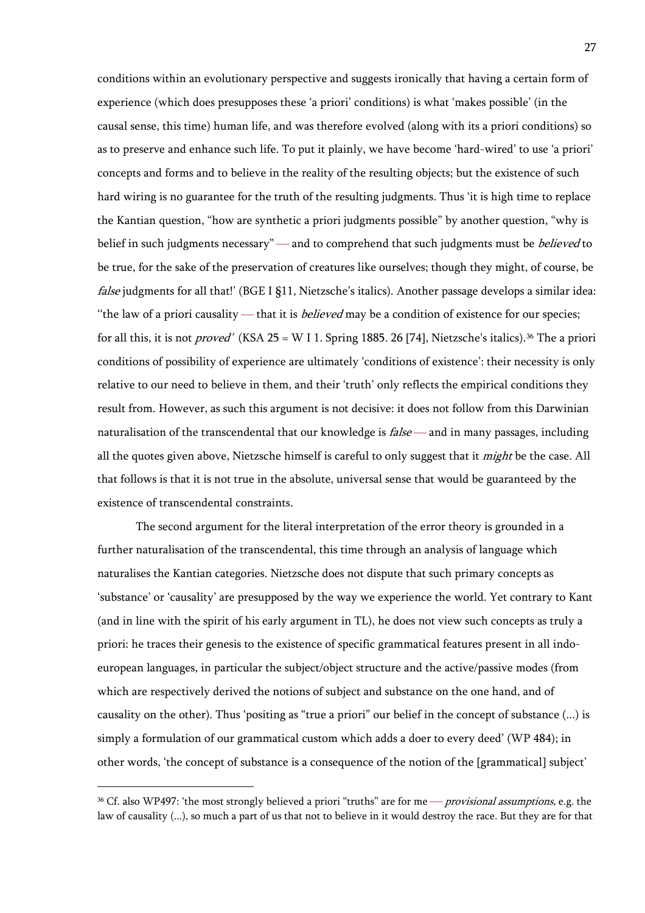conditions within an evolutionary perspective and suggests ironically that having a certain form of experience (which does presupposes these 'a priori' conditions) is what 'makes possible' (in the causal sense, this time) human life, and was therefore evolved (along with its a priori conditions) so as to preserve and enhance such life. To put it plainly, we have become 'hard-wired' to use 'a priori' concepts and forms and to believe in the reality of the resulting objects; but the existence of such hard wiring is no guarantee for the truth of the resulting judgments. Thus 'it is high time to replace the Kantian question, "how are synthetic a priori judgments possible" by another question, "why is belief in such judgments necessary" — and to comprehend that such judgments must be *believed* to be true, for the sake of the preservation of creatures like ourselves; though they might, of course, be false judgments for all that!' (BGE I §11, Nietzsche's italics). Another passage develops a similar idea: "the law of a priori causality — that it is *believed* may be a condition of existence for our species; for all this, it is not proved' (KSA 25 = W I 1. Spring 1885. 26 [74], Nietzsche's italics).[36](#page-26-0) The a priori conditions of possibility of experience are ultimately 'conditions of existence': their necessity is only relative to our need to believe in them, and their 'truth' only reflects the empirical conditions they result from. However, as such this argument is not decisive: it does not follow from this Darwinian naturalisation of the transcendental that our knowledge is  $false$  and in many passages, including all the quotes given above, Nietzsche himself is careful to only suggest that it  $might$  be the case. All that follows is that it is not true in the absolute, universal sense that would be guaranteed by the existence of transcendental constraints.

 The second argument for the literal interpretation of the error theory is grounded in a further naturalisation of the transcendental, this time through an analysis of language which naturalises the Kantian categories. Nietzsche does not dispute that such primary concepts as 'substance' or 'causality' are presupposed by the way we experience the world. Yet contrary to Kant (and in line with the spirit of his early argument in TL), he does not view such concepts as truly a priori: he traces their genesis to the existence of specific grammatical features present in all indoeuropean languages, in particular the subject/object structure and the active/passive modes (from which are respectively derived the notions of subject and substance on the one hand, and of causality on the other). Thus 'positing as "true a priori" our belief in the concept of substance (...) is simply a formulation of our grammatical custom which adds a doer to every deed' (WP 484); in other words, 'the concept of substance is a consequence of the notion of the [grammatical] subject'

<span id="page-26-0"></span> $36$  Cf. also WP497: 'the most strongly believed a priori "truths" are for me — *provisional assumptions*, e.g. the law of causality (...), so much a part of us that not to believe in it would destroy the race. But they are for that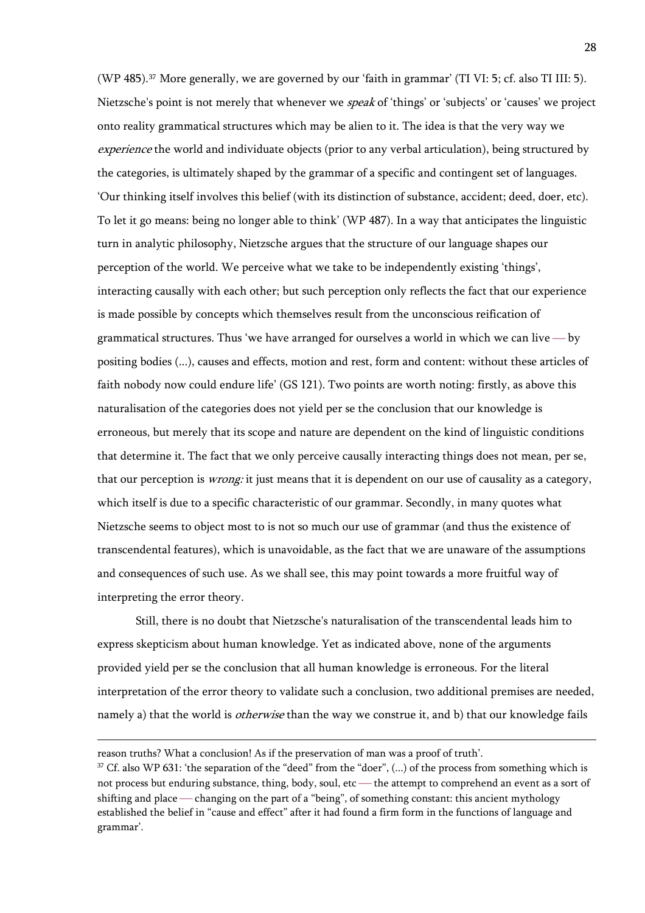(WP 485)[.37](#page-27-0) More generally, we are governed by our 'faith in grammar' (TI VI: 5; cf. also TI III: 5). Nietzsche's point is not merely that whenever we *speak* of 'things' or 'subjects' or 'causes' we project onto reality grammatical structures which may be alien to it. The idea is that the very way we experience the world and individuate objects (prior to any verbal articulation), being structured by the categories, is ultimately shaped by the grammar of a specific and contingent set of languages. 'Our thinking itself involves this belief (with its distinction of substance, accident; deed, doer, etc). To let it go means: being no longer able to think' (WP 487). In a way that anticipates the linguistic turn in analytic philosophy, Nietzsche argues that the structure of our language shapes our perception of the world. We perceive what we take to be independently existing 'things', interacting causally with each other; but such perception only reflects the fact that our experience is made possible by concepts which themselves result from the unconscious reification of grammatical structures. Thus 'we have arranged for ourselves a world in which we can live  $-$  by positing bodies (...), causes and effects, motion and rest, form and content: without these articles of faith nobody now could endure life' (GS 121). Two points are worth noting: firstly, as above this naturalisation of the categories does not yield per se the conclusion that our knowledge is erroneous, but merely that its scope and nature are dependent on the kind of linguistic conditions that determine it. The fact that we only perceive causally interacting things does not mean, per se, that our perception is wrong: it just means that it is dependent on our use of causality as a category, which itself is due to a specific characteristic of our grammar. Secondly, in many quotes what Nietzsche seems to object most to is not so much our use of grammar (and thus the existence of transcendental features), which is unavoidable, as the fact that we are unaware of the assumptions and consequences of such use. As we shall see, this may point towards a more fruitful way of interpreting the error theory.

 Still, there is no doubt that Nietzsche's naturalisation of the transcendental leads him to express skepticism about human knowledge. Yet as indicated above, none of the arguments provided yield per se the conclusion that all human knowledge is erroneous. For the literal interpretation of the error theory to validate such a conclusion, two additional premises are needed, namely a) that the world is *otherwise* than the way we construe it, and b) that our knowledge fails

reason truths? What a conclusion! As if the preservation of man was a proof of truth'.

<span id="page-27-0"></span><sup>&</sup>lt;sup>37</sup> Cf. also WP 631: 'the separation of the "deed" from the "doer", (...) of the process from something which is not process but enduring substance, thing, body, soul, etc — the attempt to comprehend an event as a sort of shifting and place — changing on the part of a "being", of something constant: this ancient mythology established the belief in "cause and effect" after it had found a firm form in the functions of language and grammar'.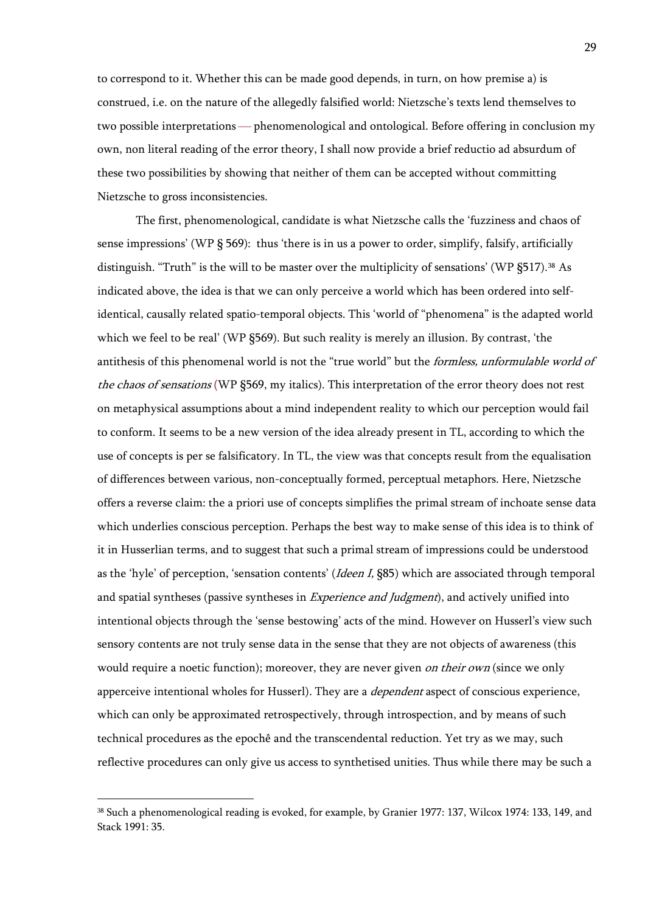to correspond to it. Whether this can be made good depends, in turn, on how premise a) is construed, i.e. on the nature of the allegedly falsified world: Nietzsche's texts lend themselves to two possible interpretations — phenomenological and ontological. Before offering in conclusion my own, non literal reading of the error theory, I shall now provide a brief reductio ad absurdum of these two possibilities by showing that neither of them can be accepted without committing Nietzsche to gross inconsistencies.

 The first, phenomenological, candidate is what Nietzsche calls the 'fuzziness and chaos of sense impressions' (WP § 569): thus 'there is in us a power to order, simplify, falsify, artificially distinguish. "Truth" is the will to be master over the multiplicity of sensations' (WP §517).<sup>[38](#page-28-0)</sup> As indicated above, the idea is that we can only perceive a world which has been ordered into selfidentical, causally related spatio-temporal objects. This 'world of "phenomena" is the adapted world which we feel to be real' (WP §569). But such reality is merely an illusion. By contrast, 'the antithesis of this phenomenal world is not the "true world" but the formless, unformulable world of the chaos of sensations (WP §569, my italics). This interpretation of the error theory does not rest on metaphysical assumptions about a mind independent reality to which our perception would fail to conform. It seems to be a new version of the idea already present in TL, according to which the use of concepts is per se falsificatory. In TL, the view was that concepts result from the equalisation of differences between various, non-conceptually formed, perceptual metaphors. Here, Nietzsche offers a reverse claim: the a priori use of concepts simplifies the primal stream of inchoate sense data which underlies conscious perception. Perhaps the best way to make sense of this idea is to think of it in Husserlian terms, and to suggest that such a primal stream of impressions could be understood as the 'hyle' of perception, 'sensation contents' (Ideen I, §85) which are associated through temporal and spatial syntheses (passive syntheses in *Experience and Judgment*), and actively unified into intentional objects through the 'sense bestowing' acts of the mind. However on Husserl's view such sensory contents are not truly sense data in the sense that they are not objects of awareness (this would require a noetic function); moreover, they are never given *on their own* (since we only apperceive intentional wholes for Husserl). They are a *dependent* aspect of conscious experience, which can only be approximated retrospectively, through introspection, and by means of such technical procedures as the epochê and the transcendental reduction. Yet try as we may, such reflective procedures can only give us access to synthetised unities. Thus while there may be such a

<span id="page-28-0"></span><sup>38</sup> Such a phenomenological reading is evoked, for example, by Granier 1977: 137, Wilcox 1974: 133, 149, and Stack 1991: 35.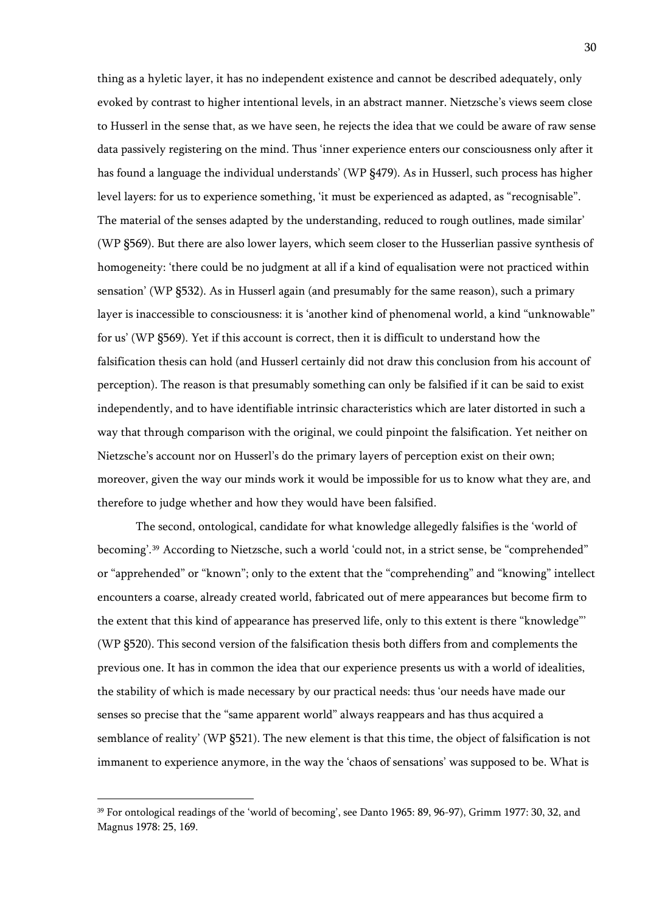thing as a hyletic layer, it has no independent existence and cannot be described adequately, only evoked by contrast to higher intentional levels, in an abstract manner. Nietzsche's views seem close to Husserl in the sense that, as we have seen, he rejects the idea that we could be aware of raw sense data passively registering on the mind. Thus 'inner experience enters our consciousness only after it has found a language the individual understands' (WP §479). As in Husserl, such process has higher level layers: for us to experience something, 'it must be experienced as adapted, as "recognisable". The material of the senses adapted by the understanding, reduced to rough outlines, made similar' (WP §569). But there are also lower layers, which seem closer to the Husserlian passive synthesis of homogeneity: 'there could be no judgment at all if a kind of equalisation were not practiced within sensation' (WP §532). As in Husserl again (and presumably for the same reason), such a primary layer is inaccessible to consciousness: it is 'another kind of phenomenal world, a kind "unknowable" for us' (WP §569). Yet if this account is correct, then it is difficult to understand how the falsification thesis can hold (and Husserl certainly did not draw this conclusion from his account of perception). The reason is that presumably something can only be falsified if it can be said to exist independently, and to have identifiable intrinsic characteristics which are later distorted in such a way that through comparison with the original, we could pinpoint the falsification. Yet neither on Nietzsche's account nor on Husserl's do the primary layers of perception exist on their own; moreover, given the way our minds work it would be impossible for us to know what they are, and therefore to judge whether and how they would have been falsified.

 The second, ontological, candidate for what knowledge allegedly falsifies is the 'world of becoming'.[39](#page-29-0) According to Nietzsche, such a world 'could not, in a strict sense, be "comprehended" or "apprehended" or "known"; only to the extent that the "comprehending" and "knowing" intellect encounters a coarse, already created world, fabricated out of mere appearances but become firm to the extent that this kind of appearance has preserved life, only to this extent is there "knowledge"' (WP §520). This second version of the falsification thesis both differs from and complements the previous one. It has in common the idea that our experience presents us with a world of idealities, the stability of which is made necessary by our practical needs: thus 'our needs have made our senses so precise that the "same apparent world" always reappears and has thus acquired a semblance of reality' (WP §521). The new element is that this time, the object of falsification is not immanent to experience anymore, in the way the 'chaos of sensations' was supposed to be. What is

<span id="page-29-0"></span><sup>39</sup> For ontological readings of the 'world of becoming', see Danto 1965: 89, 96-97), Grimm 1977: 30, 32, and Magnus 1978: 25, 169.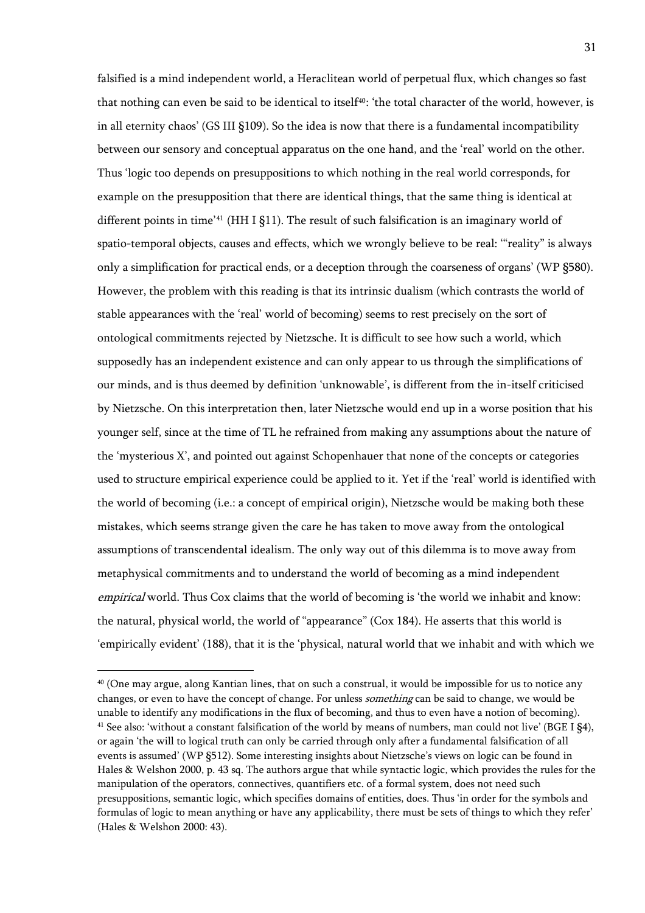falsified is a mind independent world, a Heraclitean world of perpetual flux, which changes so fast that nothing can even be said to be identical to itself<sup>[40](#page-30-0)</sup>: 'the total character of the world, however, is in all eternity chaos' (GS III §109). So the idea is now that there is a fundamental incompatibility between our sensory and conceptual apparatus on the one hand, and the 'real' world on the other. Thus 'logic too depends on presuppositions to which nothing in the real world corresponds, for example on the presupposition that there are identical things, that the same thing is identical at different points in time<sup>'[41](#page-30-1)</sup> (HH I §11). The result of such falsification is an imaginary world of spatio-temporal objects, causes and effects, which we wrongly believe to be real: '"reality" is always only a simplification for practical ends, or a deception through the coarseness of organs' (WP §580). However, the problem with this reading is that its intrinsic dualism (which contrasts the world of stable appearances with the 'real' world of becoming) seems to rest precisely on the sort of ontological commitments rejected by Nietzsche. It is difficult to see how such a world, which supposedly has an independent existence and can only appear to us through the simplifications of our minds, and is thus deemed by definition 'unknowable', is different from the in-itself criticised by Nietzsche. On this interpretation then, later Nietzsche would end up in a worse position that his younger self, since at the time of TL he refrained from making any assumptions about the nature of the 'mysterious X', and pointed out against Schopenhauer that none of the concepts or categories used to structure empirical experience could be applied to it. Yet if the 'real' world is identified with the world of becoming (i.e.: a concept of empirical origin), Nietzsche would be making both these mistakes, which seems strange given the care he has taken to move away from the ontological assumptions of transcendental idealism. The only way out of this dilemma is to move away from metaphysical commitments and to understand the world of becoming as a mind independent empirical world. Thus Cox claims that the world of becoming is 'the world we inhabit and know: the natural, physical world, the world of "appearance" (Cox 184). He asserts that this world is 'empirically evident' (188), that it is the 'physical, natural world that we inhabit and with which we

<span id="page-30-1"></span><span id="page-30-0"></span><sup>40 (</sup>One may argue, along Kantian lines, that on such a construal, it would be impossible for us to notice any changes, or even to have the concept of change. For unless *something* can be said to change, we would be unable to identify any modifications in the flux of becoming, and thus to even have a notion of becoming). <sup>41</sup> See also: 'without a constant falsification of the world by means of numbers, man could not live' (BGE I  $\S 4$ ), or again 'the will to logical truth can only be carried through only after a fundamental falsification of all events is assumed' (WP §512). Some interesting insights about Nietzsche's views on logic can be found in Hales & Welshon 2000, p. 43 sq. The authors argue that while syntactic logic, which provides the rules for the manipulation of the operators, connectives, quantifiers etc. of a formal system, does not need such presuppositions, semantic logic, which specifies domains of entities, does. Thus 'in order for the symbols and formulas of logic to mean anything or have any applicability, there must be sets of things to which they refer' (Hales & Welshon 2000: 43).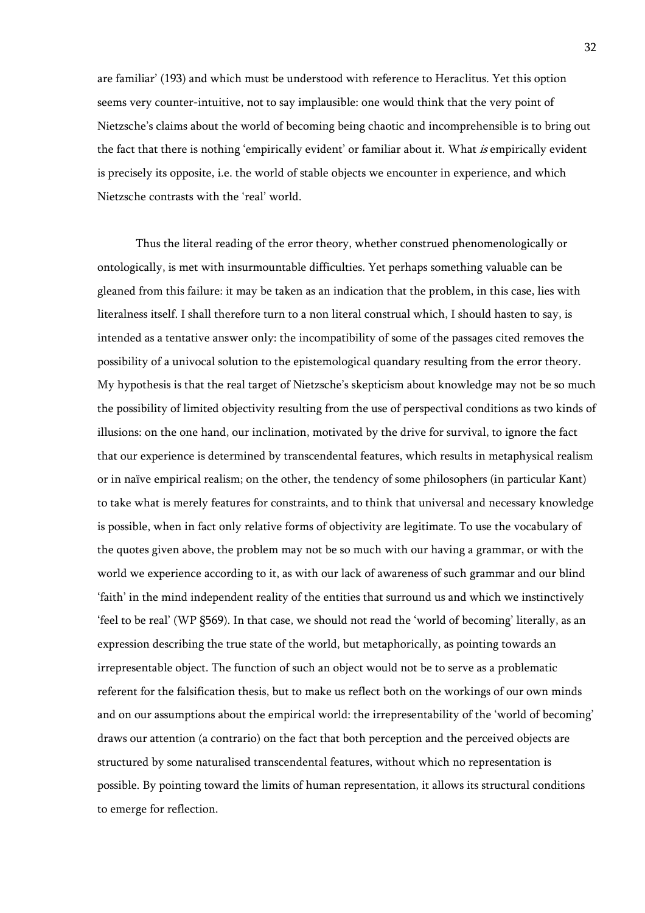are familiar' (193) and which must be understood with reference to Heraclitus. Yet this option seems very counter-intuitive, not to say implausible: one would think that the very point of Nietzsche's claims about the world of becoming being chaotic and incomprehensible is to bring out the fact that there is nothing 'empirically evident' or familiar about it. What is empirically evident is precisely its opposite, i.e. the world of stable objects we encounter in experience, and which Nietzsche contrasts with the 'real' world.

 Thus the literal reading of the error theory, whether construed phenomenologically or ontologically, is met with insurmountable difficulties. Yet perhaps something valuable can be gleaned from this failure: it may be taken as an indication that the problem, in this case, lies with literalness itself. I shall therefore turn to a non literal construal which, I should hasten to say, is intended as a tentative answer only: the incompatibility of some of the passages cited removes the possibility of a univocal solution to the epistemological quandary resulting from the error theory. My hypothesis is that the real target of Nietzsche's skepticism about knowledge may not be so much the possibility of limited objectivity resulting from the use of perspectival conditions as two kinds of illusions: on the one hand, our inclination, motivated by the drive for survival, to ignore the fact that our experience is determined by transcendental features, which results in metaphysical realism or in naïve empirical realism; on the other, the tendency of some philosophers (in particular Kant) to take what is merely features for constraints, and to think that universal and necessary knowledge is possible, when in fact only relative forms of objectivity are legitimate. To use the vocabulary of the quotes given above, the problem may not be so much with our having a grammar, or with the world we experience according to it, as with our lack of awareness of such grammar and our blind 'faith' in the mind independent reality of the entities that surround us and which we instinctively 'feel to be real' (WP §569). In that case, we should not read the 'world of becoming' literally, as an expression describing the true state of the world, but metaphorically, as pointing towards an irrepresentable object. The function of such an object would not be to serve as a problematic referent for the falsification thesis, but to make us reflect both on the workings of our own minds and on our assumptions about the empirical world: the irrepresentability of the 'world of becoming' draws our attention (a contrario) on the fact that both perception and the perceived objects are structured by some naturalised transcendental features, without which no representation is possible. By pointing toward the limits of human representation, it allows its structural conditions to emerge for reflection.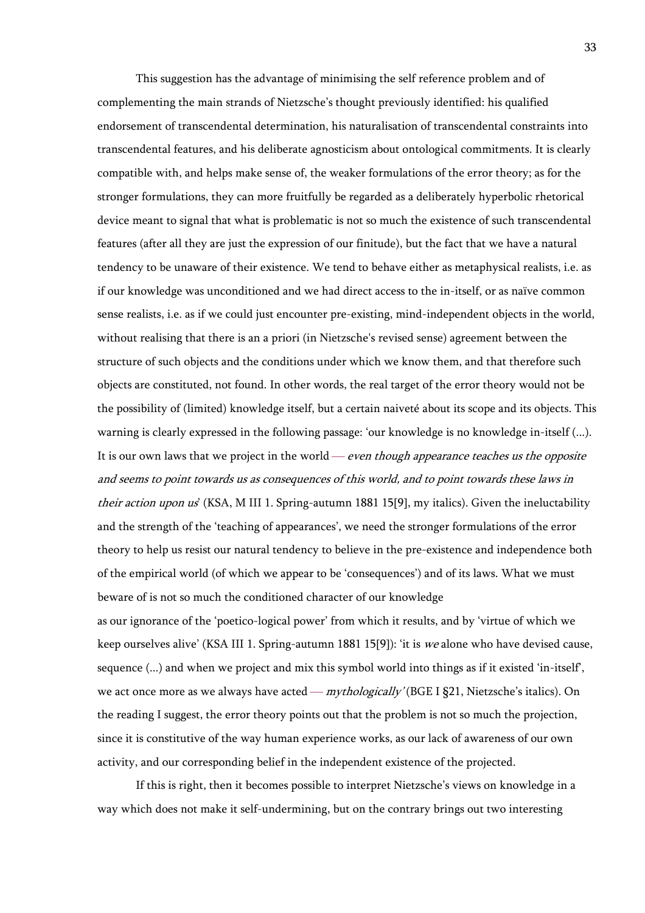This suggestion has the advantage of minimising the self reference problem and of complementing the main strands of Nietzsche's thought previously identified: his qualified endorsement of transcendental determination, his naturalisation of transcendental constraints into transcendental features, and his deliberate agnosticism about ontological commitments. It is clearly compatible with, and helps make sense of, the weaker formulations of the error theory; as for the stronger formulations, they can more fruitfully be regarded as a deliberately hyperbolic rhetorical device meant to signal that what is problematic is not so much the existence of such transcendental features (after all they are just the expression of our finitude), but the fact that we have a natural tendency to be unaware of their existence. We tend to behave either as metaphysical realists, i.e. as if our knowledge was unconditioned and we had direct access to the in-itself, or as naïve common sense realists, i.e. as if we could just encounter pre-existing, mind-independent objects in the world, without realising that there is an a priori (in Nietzsche's revised sense) agreement between the structure of such objects and the conditions under which we know them, and that therefore such objects are constituted, not found. In other words, the real target of the error theory would not be the possibility of (limited) knowledge itself, but a certain naiveté about its scope and its objects. This warning is clearly expressed in the following passage: 'our knowledge is no knowledge in-itself (...). It is our own laws that we project in the world  $-even$  though appearance teaches us the opposite and seems to point towards us as consequences of this world, and to point towards these laws in their action upon us' (KSA, M III 1. Spring-autumn 1881 15[9], my italics). Given the ineluctability and the strength of the 'teaching of appearances', we need the stronger formulations of the error theory to help us resist our natural tendency to believe in the pre-existence and independence both of the empirical world (of which we appear to be 'consequences') and of its laws. What we must beware of is not so much the conditioned character of our knowledge as our ignorance of the 'poetico-logical power' from which it results, and by 'virtue of which we keep ourselves alive' (KSA III 1. Spring-autumn 1881 15[9]): 'it is we alone who have devised cause, sequence (...) and when we project and mix this symbol world into things as if it existed 'in-itself', we act once more as we always have acted — mythologically' (BGE I §21, Nietzsche's italics). On the reading I suggest, the error theory points out that the problem is not so much the projection, since it is constitutive of the way human experience works, as our lack of awareness of our own activity, and our corresponding belief in the independent existence of the projected.

 If this is right, then it becomes possible to interpret Nietzsche's views on knowledge in a way which does not make it self-undermining, but on the contrary brings out two interesting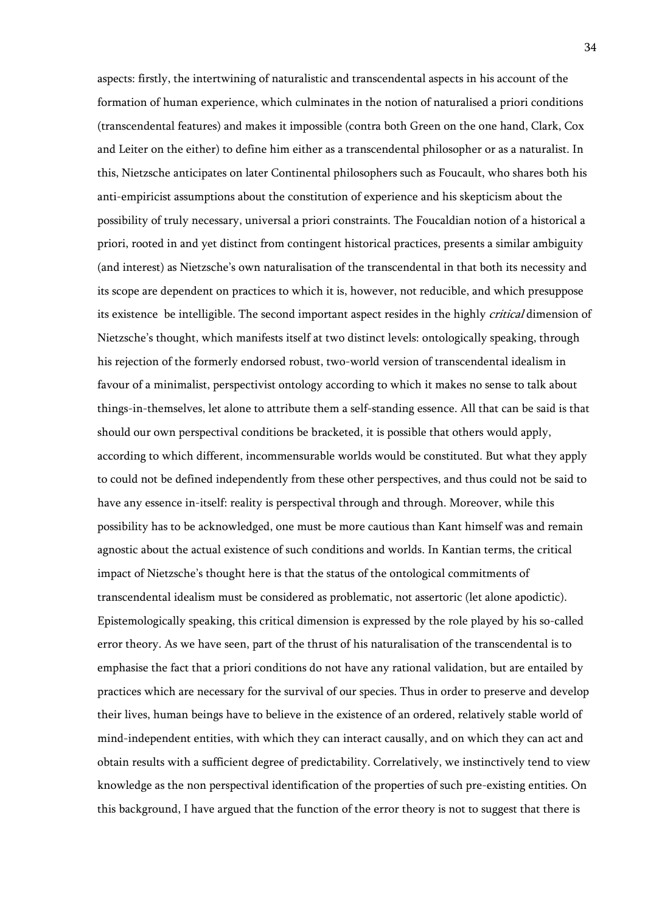aspects: firstly, the intertwining of naturalistic and transcendental aspects in his account of the formation of human experience, which culminates in the notion of naturalised a priori conditions (transcendental features) and makes it impossible (contra both Green on the one hand, Clark, Cox and Leiter on the either) to define him either as a transcendental philosopher or as a naturalist. In this, Nietzsche anticipates on later Continental philosophers such as Foucault, who shares both his anti-empiricist assumptions about the constitution of experience and his skepticism about the possibility of truly necessary, universal a priori constraints. The Foucaldian notion of a historical a priori, rooted in and yet distinct from contingent historical practices, presents a similar ambiguity (and interest) as Nietzsche's own naturalisation of the transcendental in that both its necessity and its scope are dependent on practices to which it is, however, not reducible, and which presuppose its existence be intelligible. The second important aspect resides in the highly critical dimension of Nietzsche's thought, which manifests itself at two distinct levels: ontologically speaking, through his rejection of the formerly endorsed robust, two-world version of transcendental idealism in favour of a minimalist, perspectivist ontology according to which it makes no sense to talk about things-in-themselves, let alone to attribute them a self-standing essence. All that can be said is that should our own perspectival conditions be bracketed, it is possible that others would apply, according to which different, incommensurable worlds would be constituted. But what they apply to could not be defined independently from these other perspectives, and thus could not be said to have any essence in-itself: reality is perspectival through and through. Moreover, while this possibility has to be acknowledged, one must be more cautious than Kant himself was and remain agnostic about the actual existence of such conditions and worlds. In Kantian terms, the critical impact of Nietzsche's thought here is that the status of the ontological commitments of transcendental idealism must be considered as problematic, not assertoric (let alone apodictic). Epistemologically speaking, this critical dimension is expressed by the role played by his so-called error theory. As we have seen, part of the thrust of his naturalisation of the transcendental is to emphasise the fact that a priori conditions do not have any rational validation, but are entailed by practices which are necessary for the survival of our species. Thus in order to preserve and develop their lives, human beings have to believe in the existence of an ordered, relatively stable world of mind-independent entities, with which they can interact causally, and on which they can act and obtain results with a sufficient degree of predictability. Correlatively, we instinctively tend to view knowledge as the non perspectival identification of the properties of such pre-existing entities. On this background, I have argued that the function of the error theory is not to suggest that there is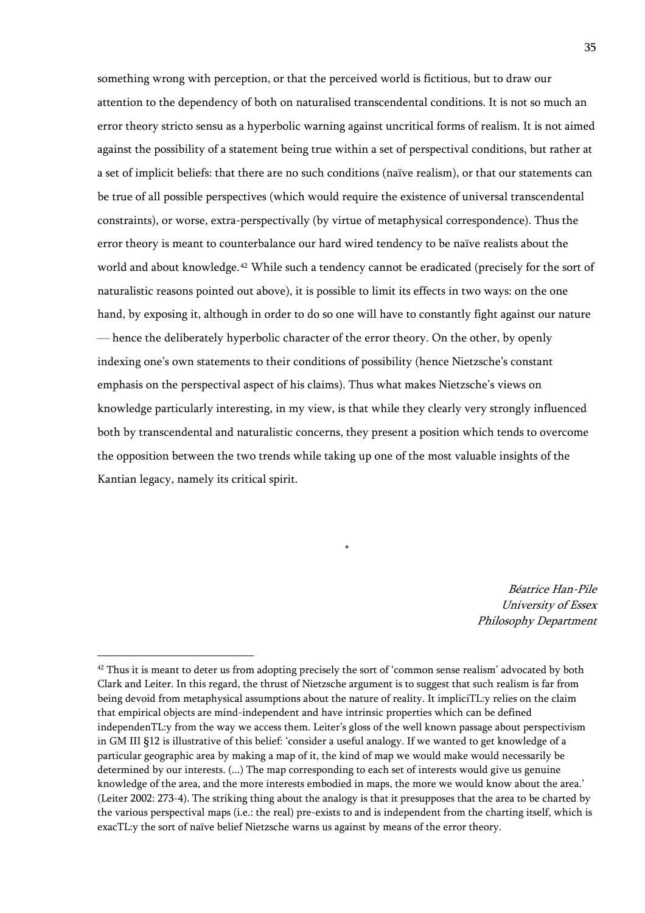something wrong with perception, or that the perceived world is fictitious, but to draw our attention to the dependency of both on naturalised transcendental conditions. It is not so much an error theory stricto sensu as a hyperbolic warning against uncritical forms of realism. It is not aimed against the possibility of a statement being true within a set of perspectival conditions, but rather at a set of implicit beliefs: that there are no such conditions (naïve realism), or that our statements can be true of all possible perspectives (which would require the existence of universal transcendental constraints), or worse, extra-perspectivally (by virtue of metaphysical correspondence). Thus the error theory is meant to counterbalance our hard wired tendency to be naïve realists about the world and about knowledge.<sup>[42](#page-34-0)</sup> While such a tendency cannot be eradicated (precisely for the sort of naturalistic reasons pointed out above), it is possible to limit its effects in two ways: on the one hand, by exposing it, although in order to do so one will have to constantly fight against our nature — hence the deliberately hyperbolic character of the error theory. On the other, by openly indexing one's own statements to their conditions of possibility (hence Nietzsche's constant emphasis on the perspectival aspect of his claims). Thus what makes Nietzsche's views on knowledge particularly interesting, in my view, is that while they clearly very strongly influenced both by transcendental and naturalistic concerns, they present a position which tends to overcome the opposition between the two trends while taking up one of the most valuable insights of the Kantian legacy, namely its critical spirit.

> Béatrice Han-Pile University of Essex Philosophy Department

\*

<span id="page-34-0"></span><sup>&</sup>lt;sup>42</sup> Thus it is meant to deter us from adopting precisely the sort of 'common sense realism' advocated by both Clark and Leiter. In this regard, the thrust of Nietzsche argument is to suggest that such realism is far from being devoid from metaphysical assumptions about the nature of reality. It impliciTL:y relies on the claim that empirical objects are mind-independent and have intrinsic properties which can be defined independenTL:y from the way we access them. Leiter's gloss of the well known passage about perspectivism in GM III §12 is illustrative of this belief: 'consider a useful analogy. If we wanted to get knowledge of a particular geographic area by making a map of it, the kind of map we would make would necessarily be determined by our interests. (...) The map corresponding to each set of interests would give us genuine knowledge of the area, and the more interests embodied in maps, the more we would know about the area.' (Leiter 2002: 273-4). The striking thing about the analogy is that it presupposes that the area to be charted by the various perspectival maps (i.e.: the real) pre-exists to and is independent from the charting itself, which is exacTL:y the sort of naïve belief Nietzsche warns us against by means of the error theory.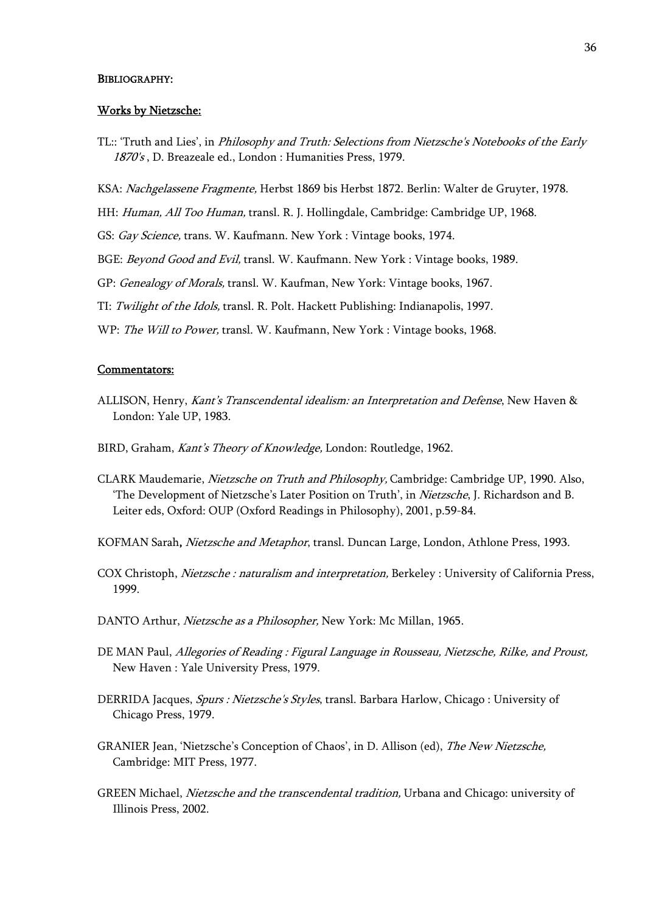### BIBLIOGRAPHY:

#### Works by Nietzsche:

- TL:: 'Truth and Lies', in Philosophy and Truth: Selections from Nietzsche's Notebooks of the Early 1870's , D. Breazeale ed., London : Humanities Press, 1979.
- KSA: Nachgelassene Fragmente, Herbst 1869 bis Herbst 1872. Berlin: Walter de Gruyter, 1978.
- HH: Human, All Too Human, transl. R. J. Hollingdale, Cambridge: Cambridge UP, 1968.
- GS: Gay Science, trans. W. Kaufmann. New York : Vintage books, 1974.
- BGE: Beyond Good and Evil, transl. W. Kaufmann. New York : Vintage books, 1989.
- GP: Genealogy of Morals, transl. W. Kaufman, New York: Vintage books, 1967.
- TI: Twilight of the Idols, transl. R. Polt. Hackett Publishing: Indianapolis, 1997.
- WP: The Will to Power, transl. W. Kaufmann, New York : Vintage books, 1968.

### Commentators:

- ALLISON, Henry, Kant's Transcendental idealism: an Interpretation and Defense, New Haven & London: Yale UP, 1983.
- BIRD, Graham, Kant's Theory of Knowledge, London: Routledge, 1962.
- CLARK Maudemarie, Nietzsche on Truth and Philosophy, Cambridge: Cambridge UP, 1990. Also, 'The Development of Nietzsche's Later Position on Truth', in Nietzsche, J. Richardson and B. Leiter eds, Oxford: OUP (Oxford Readings in Philosophy), 2001, p.59-84.
- KOFMAN Sarah, Nietzsche and Metaphor, transl. Duncan Large, London, Athlone Press, 1993.
- COX Christoph, Nietzsche : naturalism and interpretation, Berkeley : University of California Press, 1999.
- DANTO Arthur, Nietzsche as a Philosopher, New York: Mc Millan, 1965.
- DE MAN Paul, Allegories of Reading : Figural Language in Rousseau, Nietzsche, Rilke, and Proust, New Haven : Yale University Press, 1979.
- DERRIDA Jacques, Spurs : Nietzsche's Styles, transl. Barbara Harlow, Chicago : University of Chicago Press, 1979.
- GRANIER Jean, 'Nietzsche's Conception of Chaos', in D. Allison (ed), The New Nietzsche, Cambridge: MIT Press, 1977.
- GREEN Michael, Nietzsche and the transcendental tradition, Urbana and Chicago: university of Illinois Press, 2002.